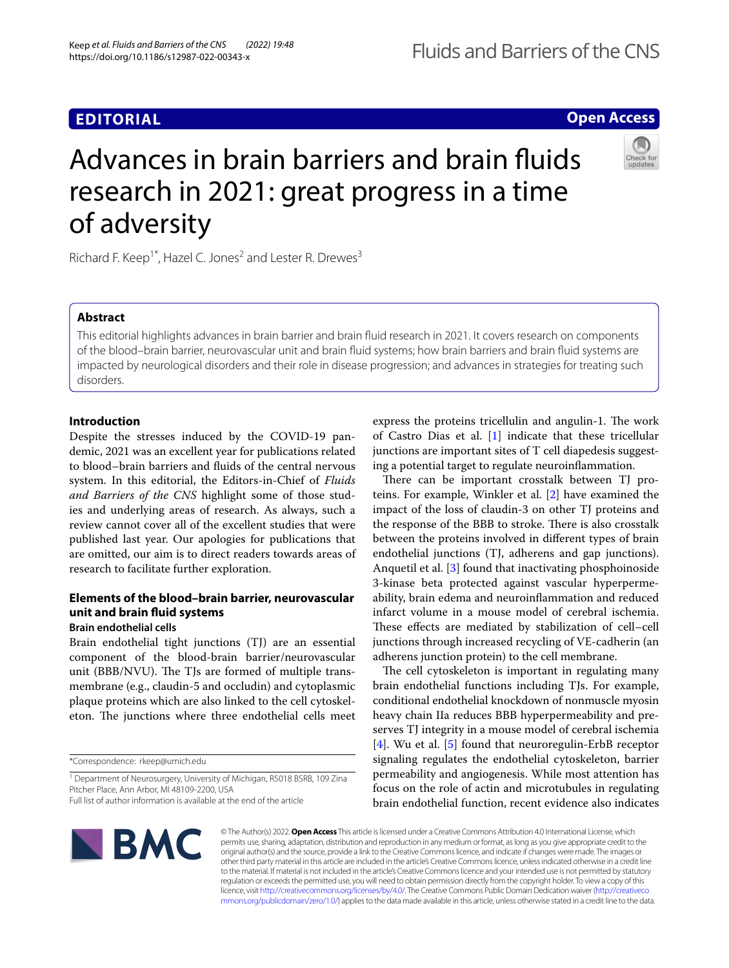# **EDITORIAL**

# **Open Access**

# Advances in brain barriers and brain fuids research in 2021: great progress in a time of adversity

Richard F. Keep<sup>1\*</sup>, Hazel C. Jones<sup>2</sup> and Lester R. Drewes<sup>3</sup>

# **Abstract**

This editorial highlights advances in brain barrier and brain fuid research in 2021. It covers research on components of the blood–brain barrier, neurovascular unit and brain fuid systems; how brain barriers and brain fuid systems are impacted by neurological disorders and their role in disease progression; and advances in strategies for treating such disorders.

# **Introduction**

Despite the stresses induced by the COVID-19 pandemic, 2021 was an excellent year for publications related to blood–brain barriers and fuids of the central nervous system. In this editorial, the Editors-in-Chief of *Fluids and Barriers of the CNS* highlight some of those studies and underlying areas of research. As always, such a review cannot cover all of the excellent studies that were published last year. Our apologies for publications that are omitted, our aim is to direct readers towards areas of research to facilitate further exploration.

# **Elements of the blood–brain barrier, neurovascular unit and brain fuid systems**

## **Brain endothelial cells**

Brain endothelial tight junctions (TJ) are an essential component of the blood-brain barrier/neurovascular unit (BBB/NVU). The TJs are formed of multiple transmembrane (e.g., claudin-5 and occludin) and cytoplasmic plaque proteins which are also linked to the cell cytoskeleton. The junctions where three endothelial cells meet

\*Correspondence: rkeep@umich.edu

express the proteins tricellulin and angulin-1. The work of Castro Dias et al. [[1\]](#page-8-0) indicate that these tricellular junctions are important sites of T cell diapedesis suggesting a potential target to regulate neuroinfammation.

There can be important crosstalk between TJ proteins. For example, Winkler et al. [\[2](#page-8-1)] have examined the impact of the loss of claudin-3 on other TJ proteins and the response of the BBB to stroke. There is also crosstalk between the proteins involved in diferent types of brain endothelial junctions (TJ, adherens and gap junctions). Anquetil et al. [[3\]](#page-8-2) found that inactivating phosphoinoside 3-kinase beta protected against vascular hyperpermeability, brain edema and neuroinfammation and reduced infarct volume in a mouse model of cerebral ischemia. These effects are mediated by stabilization of cell-cell junctions through increased recycling of VE-cadherin (an adherens junction protein) to the cell membrane.

The cell cytoskeleton is important in regulating many brain endothelial functions including TJs. For example, conditional endothelial knockdown of nonmuscle myosin heavy chain IIa reduces BBB hyperpermeability and preserves TJ integrity in a mouse model of cerebral ischemia [[4\]](#page-8-3). Wu et al. [[5\]](#page-9-0) found that neuroregulin-ErbB receptor signaling regulates the endothelial cytoskeleton, barrier permeability and angiogenesis. While most attention has focus on the role of actin and microtubules in regulating brain endothelial function, recent evidence also indicates



© The Author(s) 2022. **Open Access** This article is licensed under a Creative Commons Attribution 4.0 International License, which permits use, sharing, adaptation, distribution and reproduction in any medium or format, as long as you give appropriate credit to the original author(s) and the source, provide a link to the Creative Commons licence, and indicate if changes were made. The images or other third party material in this article are included in the article's Creative Commons licence, unless indicated otherwise in a credit line to the material. If material is not included in the article's Creative Commons licence and your intended use is not permitted by statutory regulation or exceeds the permitted use, you will need to obtain permission directly from the copyright holder. To view a copy of this licence, visit [http://creativecommons.org/licenses/by/4.0/.](http://creativecommons.org/licenses/by/4.0/) The Creative Commons Public Domain Dedication waiver ([http://creativeco](http://creativecommons.org/publicdomain/zero/1.0/) [mmons.org/publicdomain/zero/1.0/](http://creativecommons.org/publicdomain/zero/1.0/)) applies to the data made available in this article, unless otherwise stated in a credit line to the data.

<sup>&</sup>lt;sup>1</sup> Department of Neurosurgery, University of Michigan, R5018 BSRB, 109 Zina Pitcher Place, Ann Arbor, MI 48109‑2200, USA

Full list of author information is available at the end of the article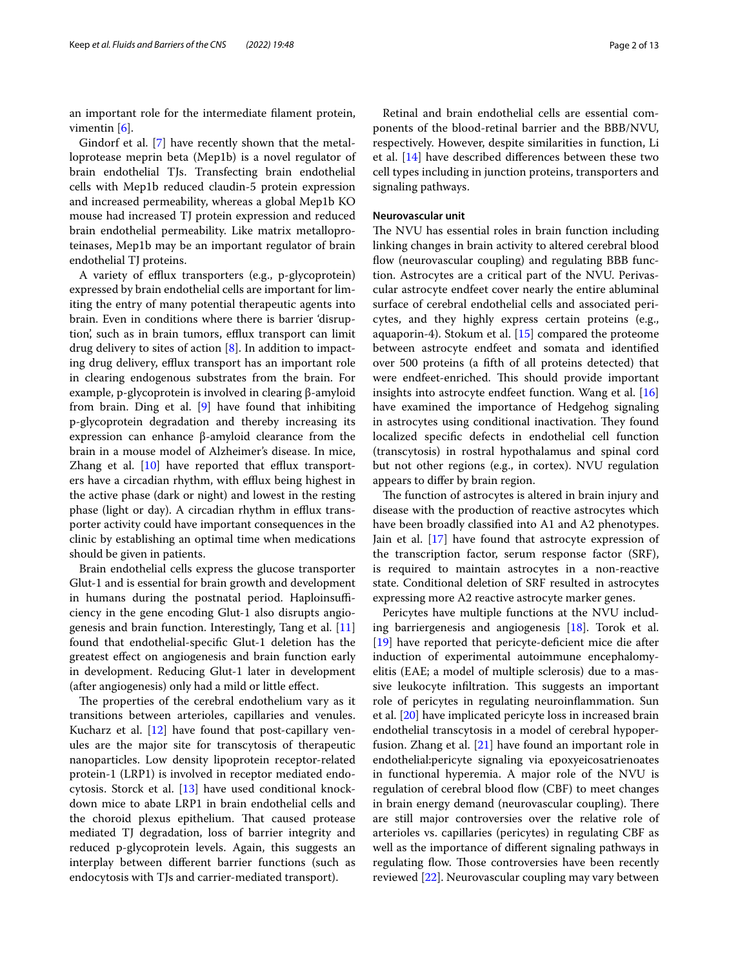an important role for the intermediate flament protein, vimentin [[6\]](#page-9-1).

Gindorf et al. [[7\]](#page-9-2) have recently shown that the metalloprotease meprin beta (Mep1b) is a novel regulator of brain endothelial TJs. Transfecting brain endothelial cells with Mep1b reduced claudin-5 protein expression and increased permeability, whereas a global Mep1b KO mouse had increased TJ protein expression and reduced brain endothelial permeability. Like matrix metalloproteinases, Mep1b may be an important regulator of brain endothelial TJ proteins.

A variety of efflux transporters (e.g., p-glycoprotein) expressed by brain endothelial cells are important for limiting the entry of many potential therapeutic agents into brain. Even in conditions where there is barrier 'disruption, such as in brain tumors, efflux transport can limit drug delivery to sites of action [[8\]](#page-9-3). In addition to impacting drug delivery, efflux transport has an important role in clearing endogenous substrates from the brain. For example, p-glycoprotein is involved in clearing β-amyloid from brain. Ding et al. [\[9](#page-9-4)] have found that inhibiting p-glycoprotein degradation and thereby increasing its expression can enhance β-amyloid clearance from the brain in a mouse model of Alzheimer's disease. In mice, Zhang et al.  $[10]$  $[10]$  have reported that efflux transporters have a circadian rhythm, with efflux being highest in the active phase (dark or night) and lowest in the resting phase (light or day). A circadian rhythm in efflux transporter activity could have important consequences in the clinic by establishing an optimal time when medications should be given in patients.

Brain endothelial cells express the glucose transporter Glut-1 and is essential for brain growth and development in humans during the postnatal period. Haploinsufficiency in the gene encoding Glut-1 also disrupts angiogenesis and brain function. Interestingly, Tang et al. [[11](#page-9-6)] found that endothelial-specifc Glut-1 deletion has the greatest efect on angiogenesis and brain function early in development. Reducing Glut-1 later in development (after angiogenesis) only had a mild or little efect.

The properties of the cerebral endothelium vary as it transitions between arterioles, capillaries and venules. Kucharz et al. [[12](#page-9-7)] have found that post-capillary venules are the major site for transcytosis of therapeutic nanoparticles. Low density lipoprotein receptor-related protein-1 (LRP1) is involved in receptor mediated endocytosis. Storck et al. [\[13](#page-9-8)] have used conditional knockdown mice to abate LRP1 in brain endothelial cells and the choroid plexus epithelium. That caused protease mediated TJ degradation, loss of barrier integrity and reduced p-glycoprotein levels. Again, this suggests an interplay between diferent barrier functions (such as endocytosis with TJs and carrier-mediated transport).

Retinal and brain endothelial cells are essential components of the blood-retinal barrier and the BBB/NVU, respectively. However, despite similarities in function, Li et al. [[14](#page-9-9)] have described diferences between these two cell types including in junction proteins, transporters and signaling pathways.

#### **Neurovascular unit**

The NVU has essential roles in brain function including linking changes in brain activity to altered cerebral blood flow (neurovascular coupling) and regulating BBB function. Astrocytes are a critical part of the NVU. Perivascular astrocyte endfeet cover nearly the entire abluminal surface of cerebral endothelial cells and associated pericytes, and they highly express certain proteins (e.g., aquaporin-4). Stokum et al. [[15](#page-9-10)] compared the proteome between astrocyte endfeet and somata and identifed over 500 proteins (a ffth of all proteins detected) that were endfeet-enriched. This should provide important insights into astrocyte endfeet function. Wang et al. [[16](#page-9-11)] have examined the importance of Hedgehog signaling in astrocytes using conditional inactivation. They found localized specifc defects in endothelial cell function (transcytosis) in rostral hypothalamus and spinal cord but not other regions (e.g., in cortex). NVU regulation appears to difer by brain region.

The function of astrocytes is altered in brain injury and disease with the production of reactive astrocytes which have been broadly classifed into A1 and A2 phenotypes. Jain et al. [[17\]](#page-9-12) have found that astrocyte expression of the transcription factor, serum response factor (SRF), is required to maintain astrocytes in a non-reactive state. Conditional deletion of SRF resulted in astrocytes expressing more A2 reactive astrocyte marker genes.

Pericytes have multiple functions at the NVU including barriergenesis and angiogenesis [\[18](#page-9-13)]. Torok et al. [[19\]](#page-9-14) have reported that pericyte-deficient mice die after induction of experimental autoimmune encephalomyelitis (EAE; a model of multiple sclerosis) due to a massive leukocyte infiltration. This suggests an important role of pericytes in regulating neuroinfammation. Sun et al. [[20\]](#page-9-15) have implicated pericyte loss in increased brain endothelial transcytosis in a model of cerebral hypoperfusion. Zhang et al. [\[21](#page-9-16)] have found an important role in endothelial:pericyte signaling via epoxyeicosatrienoates in functional hyperemia. A major role of the NVU is regulation of cerebral blood flow (CBF) to meet changes in brain energy demand (neurovascular coupling). There are still major controversies over the relative role of arterioles vs. capillaries (pericytes) in regulating CBF as well as the importance of diferent signaling pathways in regulating flow. Those controversies have been recently reviewed [\[22](#page-9-17)]. Neurovascular coupling may vary between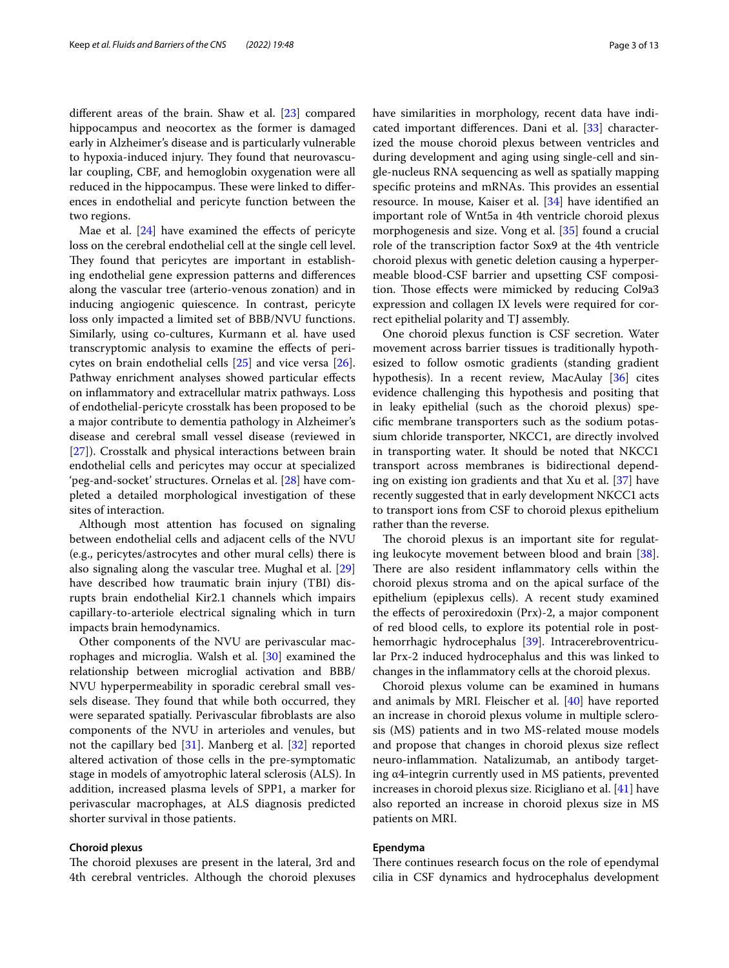diferent areas of the brain. Shaw et al. [\[23](#page-9-18)] compared hippocampus and neocortex as the former is damaged early in Alzheimer's disease and is particularly vulnerable to hypoxia-induced injury. They found that neurovascular coupling, CBF, and hemoglobin oxygenation were all reduced in the hippocampus. These were linked to differences in endothelial and pericyte function between the two regions.

Mae et al.  $[24]$  $[24]$  have examined the effects of pericyte loss on the cerebral endothelial cell at the single cell level. They found that pericytes are important in establishing endothelial gene expression patterns and diferences along the vascular tree (arterio-venous zonation) and in inducing angiogenic quiescence. In contrast, pericyte loss only impacted a limited set of BBB/NVU functions. Similarly, using co-cultures, Kurmann et al. have used transcryptomic analysis to examine the efects of pericytes on brain endothelial cells [\[25\]](#page-9-20) and vice versa [\[26](#page-9-21)]. Pathway enrichment analyses showed particular efects on infammatory and extracellular matrix pathways. Loss of endothelial-pericyte crosstalk has been proposed to be a major contribute to dementia pathology in Alzheimer's disease and cerebral small vessel disease (reviewed in [[27\]](#page-9-22)). Crosstalk and physical interactions between brain endothelial cells and pericytes may occur at specialized 'peg-and-socket' structures. Ornelas et al. [[28](#page-9-23)] have completed a detailed morphological investigation of these sites of interaction.

Although most attention has focused on signaling between endothelial cells and adjacent cells of the NVU (e.g., pericytes/astrocytes and other mural cells) there is also signaling along the vascular tree. Mughal et al. [[29](#page-9-24)] have described how traumatic brain injury (TBI) disrupts brain endothelial Kir2.1 channels which impairs capillary-to-arteriole electrical signaling which in turn impacts brain hemodynamics.

Other components of the NVU are perivascular macrophages and microglia. Walsh et al. [\[30](#page-9-25)] examined the relationship between microglial activation and BBB/ NVU hyperpermeability in sporadic cerebral small vessels disease. They found that while both occurred, they were separated spatially. Perivascular fbroblasts are also components of the NVU in arterioles and venules, but not the capillary bed [\[31](#page-9-26)]. Manberg et al. [\[32](#page-9-27)] reported altered activation of those cells in the pre-symptomatic stage in models of amyotrophic lateral sclerosis (ALS). In addition, increased plasma levels of SPP1, a marker for perivascular macrophages, at ALS diagnosis predicted shorter survival in those patients.

#### **Choroid plexus**

The choroid plexuses are present in the lateral, 3rd and 4th cerebral ventricles. Although the choroid plexuses have similarities in morphology, recent data have indicated important diferences. Dani et al. [[33\]](#page-9-28) characterized the mouse choroid plexus between ventricles and during development and aging using single-cell and single-nucleus RNA sequencing as well as spatially mapping specific proteins and mRNAs. This provides an essential resource. In mouse, Kaiser et al. [\[34](#page-9-29)] have identifed an important role of Wnt5a in 4th ventricle choroid plexus morphogenesis and size. Vong et al. [[35\]](#page-9-30) found a crucial role of the transcription factor Sox9 at the 4th ventricle choroid plexus with genetic deletion causing a hyperpermeable blood-CSF barrier and upsetting CSF composi-

rect epithelial polarity and TJ assembly. One choroid plexus function is CSF secretion. Water movement across barrier tissues is traditionally hypothesized to follow osmotic gradients (standing gradient hypothesis). In a recent review, MacAulay [\[36\]](#page-9-31) cites evidence challenging this hypothesis and positing that in leaky epithelial (such as the choroid plexus) specifc membrane transporters such as the sodium potassium chloride transporter, NKCC1, are directly involved in transporting water. It should be noted that NKCC1 transport across membranes is bidirectional depending on existing ion gradients and that Xu et al. [[37\]](#page-9-32) have recently suggested that in early development NKCC1 acts to transport ions from CSF to choroid plexus epithelium rather than the reverse.

tion. Those effects were mimicked by reducing Col9a3 expression and collagen IX levels were required for cor-

The choroid plexus is an important site for regulating leukocyte movement between blood and brain [\[38](#page-9-33)]. There are also resident inflammatory cells within the choroid plexus stroma and on the apical surface of the epithelium (epiplexus cells). A recent study examined the effects of peroxiredoxin (Prx)-2, a major component of red blood cells, to explore its potential role in posthemorrhagic hydrocephalus [[39\]](#page-9-34). Intracerebroventricular Prx-2 induced hydrocephalus and this was linked to changes in the infammatory cells at the choroid plexus.

Choroid plexus volume can be examined in humans and animals by MRI. Fleischer et al. [[40\]](#page-9-35) have reported an increase in choroid plexus volume in multiple sclerosis (MS) patients and in two MS-related mouse models and propose that changes in choroid plexus size refect neuro-infammation. Natalizumab, an antibody targeting α4-integrin currently used in MS patients, prevented increases in choroid plexus size. Ricigliano et al. [[41](#page-9-36)] have also reported an increase in choroid plexus size in MS patients on MRI.

## **Ependyma**

There continues research focus on the role of ependymal cilia in CSF dynamics and hydrocephalus development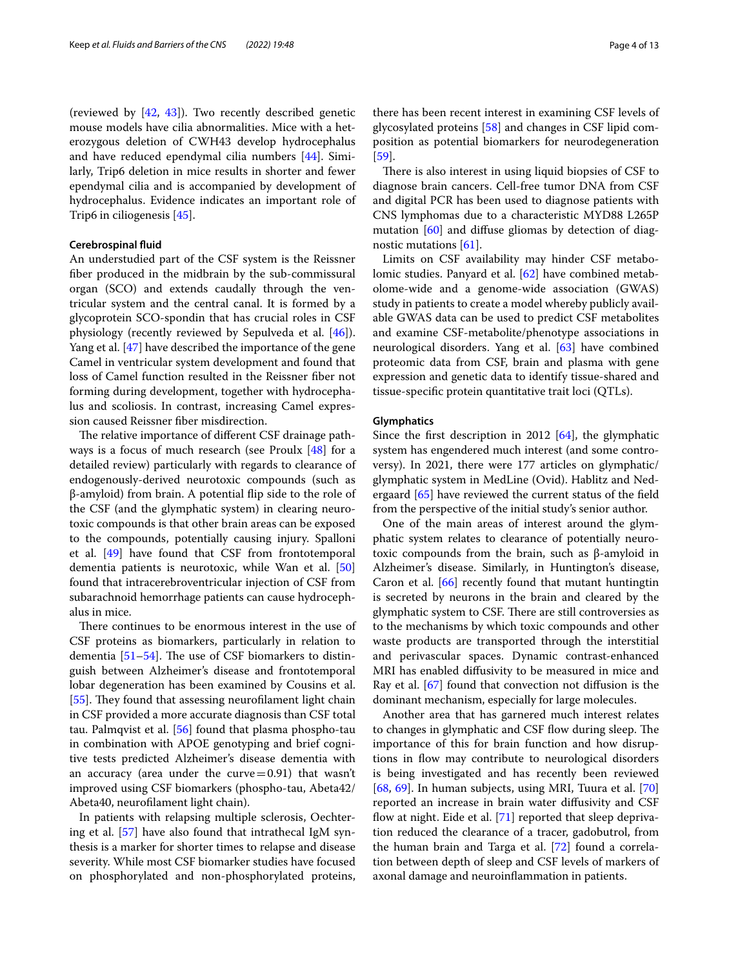(reviewed by [\[42](#page-9-37), [43\]](#page-9-38)). Two recently described genetic mouse models have cilia abnormalities. Mice with a heterozygous deletion of CWH43 develop hydrocephalus and have reduced ependymal cilia numbers [\[44\]](#page-9-39). Similarly, Trip6 deletion in mice results in shorter and fewer ependymal cilia and is accompanied by development of hydrocephalus. Evidence indicates an important role of Trip6 in ciliogenesis [\[45](#page-10-0)].

## **Cerebrospinal fuid**

An understudied part of the CSF system is the Reissner fber produced in the midbrain by the sub-commissural organ (SCO) and extends caudally through the ventricular system and the central canal. It is formed by a glycoprotein SCO-spondin that has crucial roles in CSF physiology (recently reviewed by Sepulveda et al. [\[46\]](#page-10-1)). Yang et al. [\[47](#page-10-2)] have described the importance of the gene Camel in ventricular system development and found that loss of Camel function resulted in the Reissner fber not forming during development, together with hydrocephalus and scoliosis. In contrast, increasing Camel expression caused Reissner fber misdirection.

The relative importance of different CSF drainage pathways is a focus of much research (see Proulx  $[48]$  for a detailed review) particularly with regards to clearance of endogenously-derived neurotoxic compounds (such as β-amyloid) from brain. A potential fip side to the role of the CSF (and the glymphatic system) in clearing neurotoxic compounds is that other brain areas can be exposed to the compounds, potentially causing injury. Spalloni et al. [\[49](#page-10-4)] have found that CSF from frontotemporal dementia patients is neurotoxic, while Wan et al. [[50](#page-10-5)] found that intracerebroventricular injection of CSF from subarachnoid hemorrhage patients can cause hydrocephalus in mice.

There continues to be enormous interest in the use of CSF proteins as biomarkers, particularly in relation to dementia  $[51–54]$  $[51–54]$ . The use of CSF biomarkers to distinguish between Alzheimer's disease and frontotemporal lobar degeneration has been examined by Cousins et al. [[55\]](#page-10-8). They found that assessing neurofilament light chain in CSF provided a more accurate diagnosis than CSF total tau. Palmqvist et al. [\[56](#page-10-9)] found that plasma phospho-tau in combination with APOE genotyping and brief cognitive tests predicted Alzheimer's disease dementia with an accuracy (area under the curve $=0.91$ ) that wasn't improved using CSF biomarkers (phospho-tau, Abeta42/ Abeta40, neuroflament light chain).

In patients with relapsing multiple sclerosis, Oechtering et al. [[57\]](#page-10-10) have also found that intrathecal IgM synthesis is a marker for shorter times to relapse and disease severity. While most CSF biomarker studies have focused on phosphorylated and non-phosphorylated proteins,

there has been recent interest in examining CSF levels of glycosylated proteins [[58\]](#page-10-11) and changes in CSF lipid composition as potential biomarkers for neurodegeneration [[59\]](#page-10-12).

There is also interest in using liquid biopsies of CSF to diagnose brain cancers. Cell-free tumor DNA from CSF and digital PCR has been used to diagnose patients with CNS lymphomas due to a characteristic MYD88 L265P mutation [\[60\]](#page-10-13) and difuse gliomas by detection of diagnostic mutations [[61\]](#page-10-14).

Limits on CSF availability may hinder CSF metabolomic studies. Panyard et al. [[62](#page-10-15)] have combined metabolome-wide and a genome-wide association (GWAS) study in patients to create a model whereby publicly available GWAS data can be used to predict CSF metabolites and examine CSF-metabolite/phenotype associations in neurological disorders. Yang et al. [\[63](#page-10-16)] have combined proteomic data from CSF, brain and plasma with gene expression and genetic data to identify tissue-shared and tissue-specifc protein quantitative trait loci (QTLs).

## **Glymphatics**

Since the frst description in 2012 [[64\]](#page-10-17), the glymphatic system has engendered much interest (and some controversy). In 2021, there were 177 articles on glymphatic/ glymphatic system in MedLine (Ovid). Hablitz and Nedergaard [\[65](#page-10-18)] have reviewed the current status of the feld from the perspective of the initial study's senior author.

One of the main areas of interest around the glymphatic system relates to clearance of potentially neurotoxic compounds from the brain, such as β-amyloid in Alzheimer's disease. Similarly, in Huntington's disease, Caron et al.  $[66]$  $[66]$  recently found that mutant huntingtin is secreted by neurons in the brain and cleared by the glymphatic system to CSF. There are still controversies as to the mechanisms by which toxic compounds and other waste products are transported through the interstitial and perivascular spaces. Dynamic contrast-enhanced MRI has enabled difusivity to be measured in mice and Ray et al. [\[67](#page-10-20)] found that convection not difusion is the dominant mechanism, especially for large molecules.

Another area that has garnered much interest relates to changes in glymphatic and CSF flow during sleep. The importance of this for brain function and how disruptions in flow may contribute to neurological disorders is being investigated and has recently been reviewed [[68,](#page-10-21) [69\]](#page-10-22). In human subjects, using MRI, Tuura et al. [[70](#page-10-23)] reported an increase in brain water difusivity and CSF flow at night. Eide et al.  $[71]$  $[71]$  reported that sleep deprivation reduced the clearance of a tracer, gadobutrol, from the human brain and Targa et al. [\[72](#page-10-25)] found a correlation between depth of sleep and CSF levels of markers of axonal damage and neuroinfammation in patients.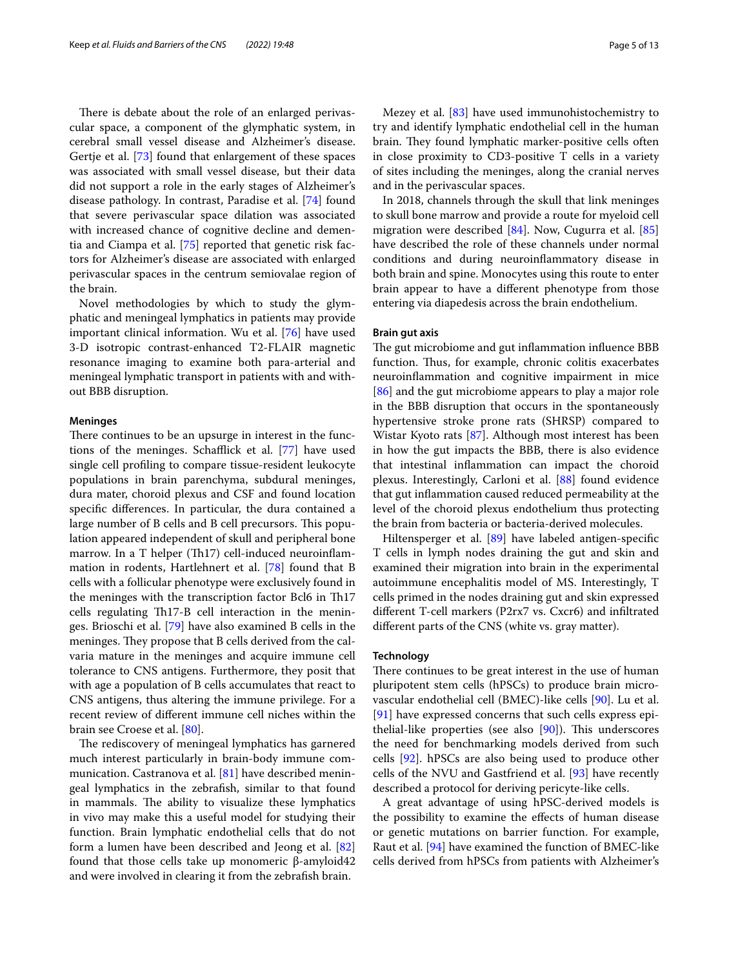There is debate about the role of an enlarged perivascular space, a component of the glymphatic system, in cerebral small vessel disease and Alzheimer's disease. Gertje et al. [\[73\]](#page-10-26) found that enlargement of these spaces was associated with small vessel disease, but their data did not support a role in the early stages of Alzheimer's disease pathology. In contrast, Paradise et al. [\[74](#page-10-27)] found that severe perivascular space dilation was associated with increased chance of cognitive decline and dementia and Ciampa et al. [[75\]](#page-10-28) reported that genetic risk factors for Alzheimer's disease are associated with enlarged perivascular spaces in the centrum semiovalae region of the brain.

Novel methodologies by which to study the glymphatic and meningeal lymphatics in patients may provide important clinical information. Wu et al. [\[76](#page-10-29)] have used 3-D isotropic contrast-enhanced T2-FLAIR magnetic resonance imaging to examine both para-arterial and meningeal lymphatic transport in patients with and without BBB disruption.

#### **Meninges**

There continues to be an upsurge in interest in the functions of the meninges. Schafick et al. [[77\]](#page-10-30) have used single cell profling to compare tissue-resident leukocyte populations in brain parenchyma, subdural meninges, dura mater, choroid plexus and CSF and found location specifc diferences. In particular, the dura contained a large number of B cells and B cell precursors. This population appeared independent of skull and peripheral bone marrow. In a T helper (Th17) cell-induced neuroinflammation in rodents, Hartlehnert et al. [[78](#page-10-31)] found that B cells with a follicular phenotype were exclusively found in the meninges with the transcription factor Bcl6 in Th17 cells regulating Th17-B cell interaction in the meninges. Brioschi et al. [[79\]](#page-10-32) have also examined B cells in the meninges. They propose that B cells derived from the calvaria mature in the meninges and acquire immune cell tolerance to CNS antigens. Furthermore, they posit that with age a population of B cells accumulates that react to CNS antigens, thus altering the immune privilege. For a recent review of diferent immune cell niches within the brain see Croese et al. [\[80](#page-10-33)].

The rediscovery of meningeal lymphatics has garnered much interest particularly in brain-body immune communication. Castranova et al. [\[81\]](#page-10-34) have described meningeal lymphatics in the zebrafsh, similar to that found in mammals. The ability to visualize these lymphatics in vivo may make this a useful model for studying their function. Brain lymphatic endothelial cells that do not form a lumen have been described and Jeong et al. [[82](#page-10-35)] found that those cells take up monomeric β-amyloid42 and were involved in clearing it from the zebrafsh brain.

Mezey et al. [[83\]](#page-10-36) have used immunohistochemistry to try and identify lymphatic endothelial cell in the human brain. They found lymphatic marker-positive cells often in close proximity to CD3-positive T cells in a variety of sites including the meninges, along the cranial nerves and in the perivascular spaces.

In 2018, channels through the skull that link meninges to skull bone marrow and provide a route for myeloid cell migration were described [[84\]](#page-11-0). Now, Cugurra et al. [[85](#page-11-1)] have described the role of these channels under normal conditions and during neuroinfammatory disease in both brain and spine. Monocytes using this route to enter brain appear to have a diferent phenotype from those entering via diapedesis across the brain endothelium.

#### **Brain gut axis**

The gut microbiome and gut inflammation influence BBB function. Thus, for example, chronic colitis exacerbates neuroinfammation and cognitive impairment in mice [[86\]](#page-11-2) and the gut microbiome appears to play a major role in the BBB disruption that occurs in the spontaneously hypertensive stroke prone rats (SHRSP) compared to Wistar Kyoto rats [\[87\]](#page-11-3). Although most interest has been in how the gut impacts the BBB, there is also evidence that intestinal infammation can impact the choroid plexus. Interestingly, Carloni et al. [[88](#page-11-4)] found evidence that gut infammation caused reduced permeability at the level of the choroid plexus endothelium thus protecting the brain from bacteria or bacteria-derived molecules.

Hiltensperger et al. [[89\]](#page-11-5) have labeled antigen-specific T cells in lymph nodes draining the gut and skin and examined their migration into brain in the experimental autoimmune encephalitis model of MS. Interestingly, T cells primed in the nodes draining gut and skin expressed diferent T-cell markers (P2rx7 vs. Cxcr6) and infltrated diferent parts of the CNS (white vs. gray matter).

#### **Technology**

There continues to be great interest in the use of human pluripotent stem cells (hPSCs) to produce brain microvascular endothelial cell (BMEC)-like cells [\[90](#page-11-6)]. Lu et al. [[91\]](#page-11-7) have expressed concerns that such cells express epithelial-like properties (see also  $[90]$  $[90]$ ). This underscores the need for benchmarking models derived from such cells [[92\]](#page-11-8). hPSCs are also being used to produce other cells of the NVU and Gastfriend et al. [\[93\]](#page-11-9) have recently described a protocol for deriving pericyte-like cells.

A great advantage of using hPSC-derived models is the possibility to examine the efects of human disease or genetic mutations on barrier function. For example, Raut et al. [\[94](#page-11-10)] have examined the function of BMEC-like cells derived from hPSCs from patients with Alzheimer's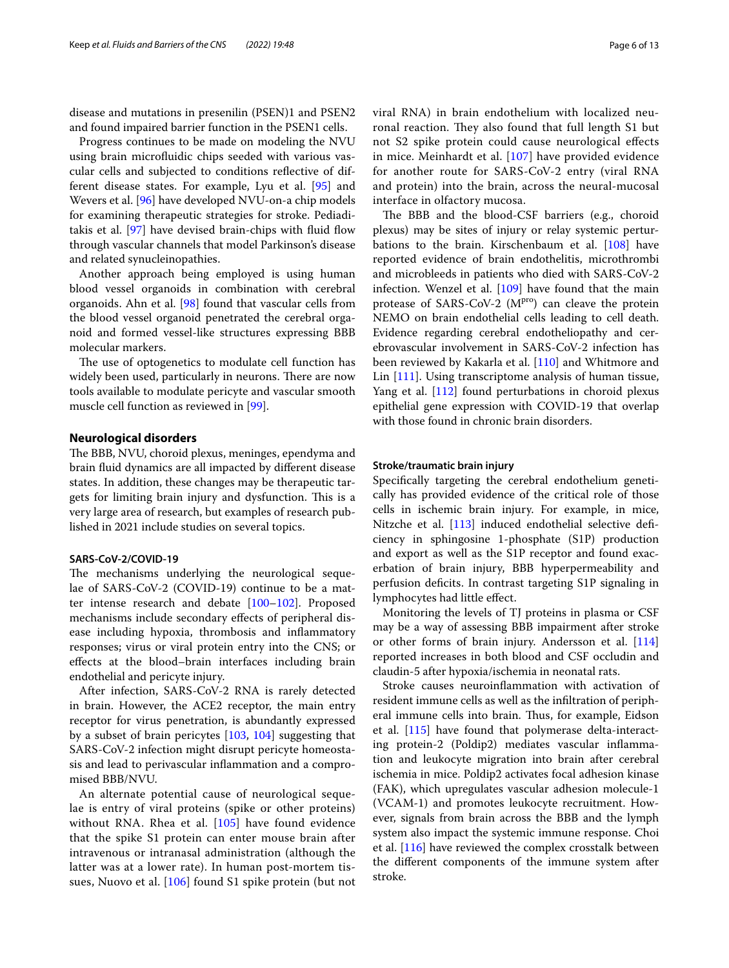disease and mutations in presenilin (PSEN)1 and PSEN2 and found impaired barrier function in the PSEN1 cells.

Progress continues to be made on modeling the NVU using brain microfuidic chips seeded with various vascular cells and subjected to conditions refective of different disease states. For example, Lyu et al. [[95\]](#page-11-11) and Wevers et al. [\[96](#page-11-12)] have developed NVU-on-a chip models for examining therapeutic strategies for stroke. Pediaditakis et al. [\[97](#page-11-13)] have devised brain-chips with fuid fow through vascular channels that model Parkinson's disease and related synucleinopathies.

Another approach being employed is using human blood vessel organoids in combination with cerebral organoids. Ahn et al. [\[98\]](#page-11-14) found that vascular cells from the blood vessel organoid penetrated the cerebral organoid and formed vessel-like structures expressing BBB molecular markers.

The use of optogenetics to modulate cell function has widely been used, particularly in neurons. There are now tools available to modulate pericyte and vascular smooth muscle cell function as reviewed in [[99\]](#page-11-15).

## **Neurological disorders**

The BBB, NVU, choroid plexus, meninges, ependyma and brain fuid dynamics are all impacted by diferent disease states. In addition, these changes may be therapeutic targets for limiting brain injury and dysfunction. This is a very large area of research, but examples of research published in 2021 include studies on several topics.

#### **SARS‑CoV‑2/COVID‑19**

The mechanisms underlying the neurological sequelae of SARS-CoV-2 (COVID-19) continue to be a matter intense research and debate [\[100](#page-11-16)[–102\]](#page-11-17). Proposed mechanisms include secondary efects of peripheral disease including hypoxia, thrombosis and infammatory responses; virus or viral protein entry into the CNS; or efects at the blood–brain interfaces including brain endothelial and pericyte injury.

After infection, SARS-CoV-2 RNA is rarely detected in brain. However, the ACE2 receptor, the main entry receptor for virus penetration, is abundantly expressed by a subset of brain pericytes [[103](#page-11-18), [104\]](#page-11-19) suggesting that SARS-CoV-2 infection might disrupt pericyte homeostasis and lead to perivascular infammation and a compromised BBB/NVU.

An alternate potential cause of neurological sequelae is entry of viral proteins (spike or other proteins) without RNA. Rhea et al. [[105\]](#page-11-20) have found evidence that the spike S1 protein can enter mouse brain after intravenous or intranasal administration (although the latter was at a lower rate). In human post-mortem tissues, Nuovo et al. [[106](#page-11-21)] found S1 spike protein (but not viral RNA) in brain endothelium with localized neu-

ronal reaction. They also found that full length S1 but not S2 spike protein could cause neurological efects in mice. Meinhardt et al. [[107](#page-11-22)] have provided evidence for another route for SARS-CoV-2 entry (viral RNA and protein) into the brain, across the neural-mucosal interface in olfactory mucosa.

The BBB and the blood-CSF barriers (e.g., choroid plexus) may be sites of injury or relay systemic perturbations to the brain. Kirschenbaum et al. [[108](#page-11-23)] have reported evidence of brain endothelitis, microthrombi and microbleeds in patients who died with SARS-CoV-2 infection. Wenzel et al. [\[109\]](#page-11-24) have found that the main protease of SARS-CoV-2 (M<sup>pro</sup>) can cleave the protein NEMO on brain endothelial cells leading to cell death. Evidence regarding cerebral endotheliopathy and cerebrovascular involvement in SARS-CoV-2 infection has been reviewed by Kakarla et al. [\[110\]](#page-11-25) and Whitmore and Lin [[111](#page-11-26)]. Using transcriptome analysis of human tissue, Yang et al. [\[112\]](#page-11-27) found perturbations in choroid plexus epithelial gene expression with COVID-19 that overlap with those found in chronic brain disorders.

### **Stroke/traumatic brain injury**

Specifcally targeting the cerebral endothelium genetically has provided evidence of the critical role of those cells in ischemic brain injury. For example, in mice, Nitzche et al. [[113](#page-11-28)] induced endothelial selective deficiency in sphingosine 1-phosphate (S1P) production and export as well as the S1P receptor and found exacerbation of brain injury, BBB hyperpermeability and perfusion defcits. In contrast targeting S1P signaling in lymphocytes had little efect.

Monitoring the levels of TJ proteins in plasma or CSF may be a way of assessing BBB impairment after stroke or other forms of brain injury. Andersson et al. [[114](#page-11-29)] reported increases in both blood and CSF occludin and claudin-5 after hypoxia/ischemia in neonatal rats.

Stroke causes neuroinfammation with activation of resident immune cells as well as the infltration of peripheral immune cells into brain. Thus, for example, Eidson et al. [[115\]](#page-11-30) have found that polymerase delta-interacting protein-2 (Poldip2) mediates vascular infammation and leukocyte migration into brain after cerebral ischemia in mice. Poldip2 activates focal adhesion kinase (FAK), which upregulates vascular adhesion molecule-1 (VCAM-1) and promotes leukocyte recruitment. However, signals from brain across the BBB and the lymph system also impact the systemic immune response. Choi et al. [\[116](#page-11-31)] have reviewed the complex crosstalk between the diferent components of the immune system after stroke.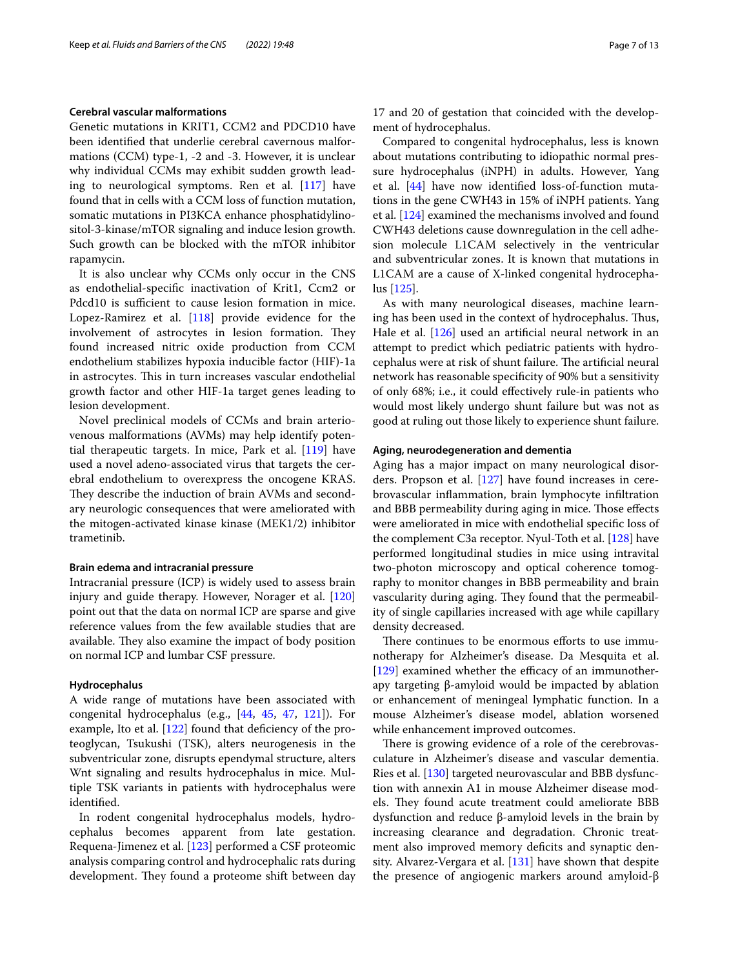#### **Cerebral vascular malformations**

Genetic mutations in KRIT1, CCM2 and PDCD10 have been identifed that underlie cerebral cavernous malformations (CCM) type-1, -2 and -3. However, it is unclear why individual CCMs may exhibit sudden growth leading to neurological symptoms. Ren et al. [\[117](#page-11-32)] have found that in cells with a CCM loss of function mutation, somatic mutations in PI3KCA enhance phosphatidylinositol-3-kinase/mTOR signaling and induce lesion growth. Such growth can be blocked with the mTOR inhibitor rapamycin.

It is also unclear why CCMs only occur in the CNS as endothelial-specifc inactivation of Krit1, Ccm2 or Pdcd10 is sufficient to cause lesion formation in mice. Lopez-Ramirez et al. [\[118\]](#page-11-33) provide evidence for the involvement of astrocytes in lesion formation. They found increased nitric oxide production from CCM endothelium stabilizes hypoxia inducible factor (HIF)-1a in astrocytes. This in turn increases vascular endothelial growth factor and other HIF-1a target genes leading to lesion development.

Novel preclinical models of CCMs and brain arteriovenous malformations (AVMs) may help identify potential therapeutic targets. In mice, Park et al. [[119](#page-11-34)] have used a novel adeno-associated virus that targets the cerebral endothelium to overexpress the oncogene KRAS. They describe the induction of brain AVMs and secondary neurologic consequences that were ameliorated with the mitogen-activated kinase kinase (MEK1/2) inhibitor trametinib.

#### **Brain edema and intracranial pressure**

Intracranial pressure (ICP) is widely used to assess brain injury and guide therapy. However, Norager et al. [[120](#page-11-35)] point out that the data on normal ICP are sparse and give reference values from the few available studies that are available. They also examine the impact of body position on normal ICP and lumbar CSF pressure.

#### **Hydrocephalus**

A wide range of mutations have been associated with congenital hydrocephalus (e.g., [[44,](#page-9-39) [45,](#page-10-0) [47,](#page-10-2) [121](#page-11-36)]). For example, Ito et al.  $[122]$  $[122]$  $[122]$  found that deficiency of the proteoglycan, Tsukushi (TSK), alters neurogenesis in the subventricular zone, disrupts ependymal structure, alters Wnt signaling and results hydrocephalus in mice. Multiple TSK variants in patients with hydrocephalus were identifed.

In rodent congenital hydrocephalus models, hydrocephalus becomes apparent from late gestation. Requena-Jimenez et al. [[123\]](#page-12-1) performed a CSF proteomic analysis comparing control and hydrocephalic rats during development. They found a proteome shift between day

17 and 20 of gestation that coincided with the development of hydrocephalus.

Compared to congenital hydrocephalus, less is known about mutations contributing to idiopathic normal pressure hydrocephalus (iNPH) in adults. However, Yang et al. [[44\]](#page-9-39) have now identifed loss-of-function mutations in the gene CWH43 in 15% of iNPH patients. Yang et al. [\[124](#page-12-2)] examined the mechanisms involved and found CWH43 deletions cause downregulation in the cell adhesion molecule L1CAM selectively in the ventricular and subventricular zones. It is known that mutations in L1CAM are a cause of X-linked congenital hydrocephalus [[125\]](#page-12-3).

As with many neurological diseases, machine learning has been used in the context of hydrocephalus. Thus, Hale et al. [[126](#page-12-4)] used an artificial neural network in an attempt to predict which pediatric patients with hydrocephalus were at risk of shunt failure. The artificial neural network has reasonable specifcity of 90% but a sensitivity of only 68%; i.e., it could efectively rule-in patients who would most likely undergo shunt failure but was not as good at ruling out those likely to experience shunt failure.

#### **Aging, neurodegeneration and dementia**

Aging has a major impact on many neurological disorders. Propson et al. [\[127](#page-12-5)] have found increases in cerebrovascular infammation, brain lymphocyte infltration and BBB permeability during aging in mice. Those effects were ameliorated in mice with endothelial specifc loss of the complement C3a receptor. Nyul-Toth et al. [[128](#page-12-6)] have performed longitudinal studies in mice using intravital two-photon microscopy and optical coherence tomography to monitor changes in BBB permeability and brain vascularity during aging. They found that the permeability of single capillaries increased with age while capillary density decreased.

There continues to be enormous efforts to use immunotherapy for Alzheimer's disease. Da Mesquita et al.  $[129]$  $[129]$  examined whether the efficacy of an immunotherapy targeting β-amyloid would be impacted by ablation or enhancement of meningeal lymphatic function. In a mouse Alzheimer's disease model, ablation worsened while enhancement improved outcomes.

There is growing evidence of a role of the cerebrovasculature in Alzheimer's disease and vascular dementia. Ries et al. [\[130\]](#page-12-8) targeted neurovascular and BBB dysfunction with annexin A1 in mouse Alzheimer disease models. They found acute treatment could ameliorate BBB dysfunction and reduce β-amyloid levels in the brain by increasing clearance and degradation. Chronic treatment also improved memory deficits and synaptic density. Alvarez-Vergara et al. [\[131](#page-12-9)] have shown that despite the presence of angiogenic markers around amyloid-β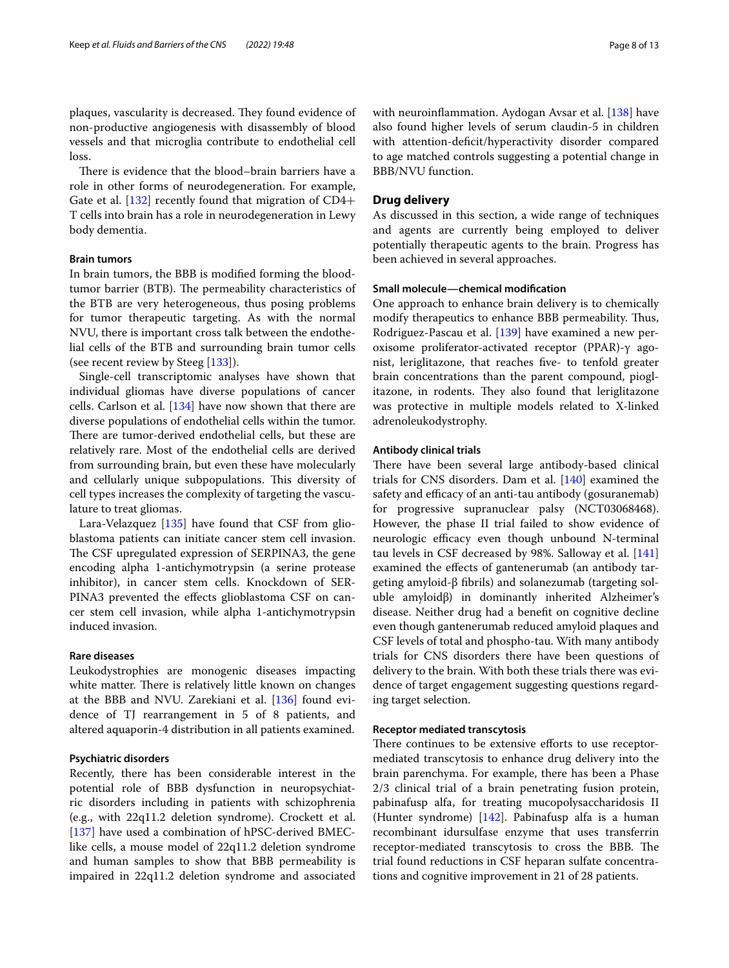plaques, vascularity is decreased. They found evidence of non-productive angiogenesis with disassembly of blood vessels and that microglia contribute to endothelial cell loss.

There is evidence that the blood–brain barriers have a role in other forms of neurodegeneration. For example, Gate et al. [[132](#page-12-10)] recently found that migration of CD4+ T cells into brain has a role in neurodegeneration in Lewy body dementia.

## **Brain tumors**

In brain tumors, the BBB is modifed forming the bloodtumor barrier (BTB). The permeability characteristics of the BTB are very heterogeneous, thus posing problems for tumor therapeutic targeting. As with the normal NVU, there is important cross talk between the endothelial cells of the BTB and surrounding brain tumor cells (see recent review by Steeg [[133\]](#page-12-11)).

Single-cell transcriptomic analyses have shown that individual gliomas have diverse populations of cancer cells. Carlson et al. [\[134](#page-12-12)] have now shown that there are diverse populations of endothelial cells within the tumor. There are tumor-derived endothelial cells, but these are relatively rare. Most of the endothelial cells are derived from surrounding brain, but even these have molecularly and cellularly unique subpopulations. This diversity of cell types increases the complexity of targeting the vasculature to treat gliomas.

Lara-Velazquez [[135\]](#page-12-13) have found that CSF from glioblastoma patients can initiate cancer stem cell invasion. The CSF upregulated expression of SERPINA3, the gene encoding alpha 1-antichymotrypsin (a serine protease inhibitor), in cancer stem cells. Knockdown of SER-PINA3 prevented the effects glioblastoma CSF on cancer stem cell invasion, while alpha 1-antichymotrypsin induced invasion.

## **Rare diseases**

Leukodystrophies are monogenic diseases impacting white matter. There is relatively little known on changes at the BBB and NVU. Zarekiani et al. [\[136\]](#page-12-14) found evidence of TJ rearrangement in 5 of 8 patients, and altered aquaporin-4 distribution in all patients examined.

## **Psychiatric disorders**

Recently, there has been considerable interest in the potential role of BBB dysfunction in neuropsychiatric disorders including in patients with schizophrenia (e.g., with 22q11.2 deletion syndrome). Crockett et al. [[137\]](#page-12-15) have used a combination of hPSC-derived BMEClike cells, a mouse model of 22q11.2 deletion syndrome and human samples to show that BBB permeability is impaired in 22q11.2 deletion syndrome and associated with neuroinfammation. Aydogan Avsar et al. [\[138](#page-12-16)] have also found higher levels of serum claudin-5 in children with attention-deficit/hyperactivity disorder compared to age matched controls suggesting a potential change in BBB/NVU function.

## **Drug delivery**

As discussed in this section, a wide range of techniques and agents are currently being employed to deliver potentially therapeutic agents to the brain. Progress has been achieved in several approaches.

#### **Small molecule—chemical modifcation**

One approach to enhance brain delivery is to chemically modify therapeutics to enhance BBB permeability. Thus, Rodriguez-Pascau et al. [\[139\]](#page-12-17) have examined a new peroxisome proliferator-activated receptor (PPAR)-γ agonist, leriglitazone, that reaches fve- to tenfold greater brain concentrations than the parent compound, pioglitazone, in rodents. They also found that leriglitazone was protective in multiple models related to X-linked adrenoleukodystrophy.

#### **Antibody clinical trials**

There have been several large antibody-based clinical trials for CNS disorders. Dam et al. [\[140\]](#page-12-18) examined the safety and efficacy of an anti-tau antibody (gosuranemab) for progressive supranuclear palsy (NCT03068468). However, the phase II trial failed to show evidence of neurologic efficacy even though unbound N-terminal tau levels in CSF decreased by 98%. Salloway et al. [[141](#page-12-19)] examined the efects of gantenerumab (an antibody targeting amyloid-β fbrils) and solanezumab (targeting soluble amyloidβ) in dominantly inherited Alzheimer's disease. Neither drug had a beneft on cognitive decline even though gantenerumab reduced amyloid plaques and CSF levels of total and phospho-tau. With many antibody trials for CNS disorders there have been questions of delivery to the brain. With both these trials there was evidence of target engagement suggesting questions regarding target selection.

#### **Receptor mediated transcytosis**

There continues to be extensive efforts to use receptormediated transcytosis to enhance drug delivery into the brain parenchyma. For example, there has been a Phase 2/3 clinical trial of a brain penetrating fusion protein, pabinafusp alfa, for treating mucopolysaccharidosis II (Hunter syndrome) [\[142](#page-12-20)]. Pabinafusp alfa is a human recombinant idursulfase enzyme that uses transferrin receptor-mediated transcytosis to cross the BBB. The trial found reductions in CSF heparan sulfate concentrations and cognitive improvement in 21 of 28 patients.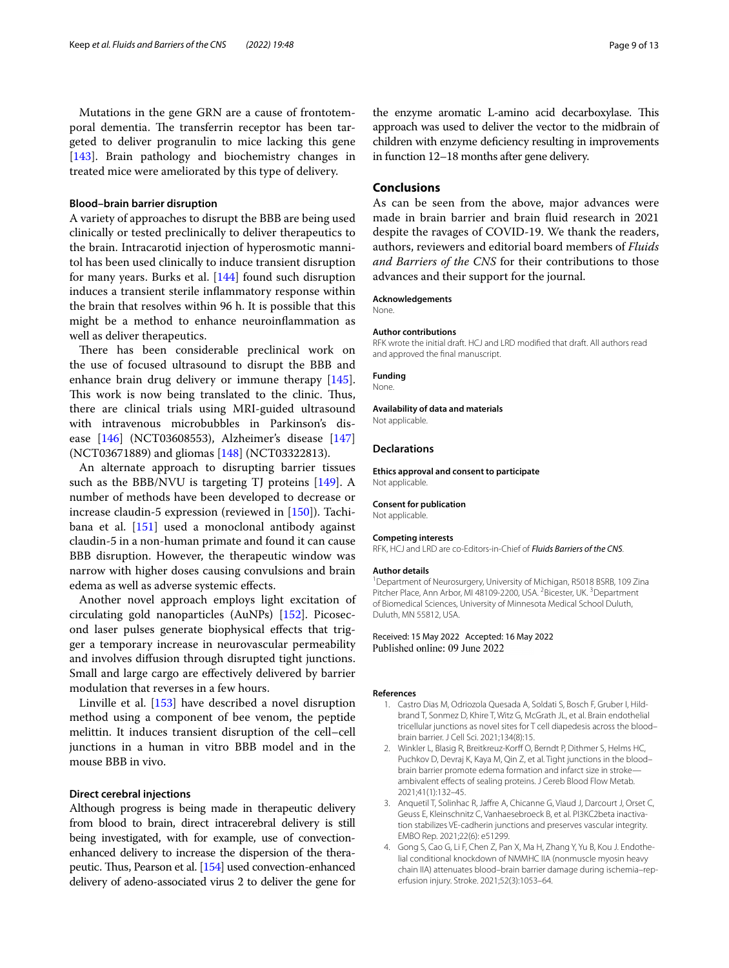Mutations in the gene GRN are a cause of frontotemporal dementia. The transferrin receptor has been targeted to deliver progranulin to mice lacking this gene [[143\]](#page-12-21). Brain pathology and biochemistry changes in treated mice were ameliorated by this type of delivery.

#### **Blood–brain barrier disruption**

A variety of approaches to disrupt the BBB are being used clinically or tested preclinically to deliver therapeutics to the brain. Intracarotid injection of hyperosmotic mannitol has been used clinically to induce transient disruption for many years. Burks et al. [\[144](#page-12-22)] found such disruption induces a transient sterile infammatory response within the brain that resolves within 96 h. It is possible that this might be a method to enhance neuroinfammation as well as deliver therapeutics.

There has been considerable preclinical work on the use of focused ultrasound to disrupt the BBB and enhance brain drug delivery or immune therapy [\[145](#page-12-23)]. This work is now being translated to the clinic. Thus, there are clinical trials using MRI-guided ultrasound with intravenous microbubbles in Parkinson's disease [[146\]](#page-12-24) (NCT03608553), Alzheimer's disease [[147](#page-12-25)] (NCT03671889) and gliomas [[148](#page-12-26)] (NCT03322813).

An alternate approach to disrupting barrier tissues such as the BBB/NVU is targeting TJ proteins  $[149]$  $[149]$  $[149]$ . A number of methods have been developed to decrease or increase claudin-5 expression (reviewed in [\[150\]](#page-12-28)). Tachibana et al.  $[151]$  used a monoclonal antibody against claudin-5 in a non-human primate and found it can cause BBB disruption. However, the therapeutic window was narrow with higher doses causing convulsions and brain edema as well as adverse systemic efects.

Another novel approach employs light excitation of circulating gold nanoparticles (AuNPs) [\[152](#page-12-30)]. Picosecond laser pulses generate biophysical efects that trigger a temporary increase in neurovascular permeability and involves difusion through disrupted tight junctions. Small and large cargo are efectively delivered by barrier modulation that reverses in a few hours.

Linville et al. [\[153](#page-12-31)] have described a novel disruption method using a component of bee venom, the peptide melittin. It induces transient disruption of the cell–cell junctions in a human in vitro BBB model and in the mouse BBB in vivo.

### **Direct cerebral injections**

Although progress is being made in therapeutic delivery from blood to brain, direct intracerebral delivery is still being investigated, with for example, use of convectionenhanced delivery to increase the dispersion of the thera-peutic. Thus, Pearson et al. [\[154](#page-12-32)] used convection-enhanced delivery of adeno-associated virus 2 to deliver the gene for

the enzyme aromatic L-amino acid decarboxylase. This approach was used to deliver the vector to the midbrain of children with enzyme defciency resulting in improvements in function 12–18 months after gene delivery.

## **Conclusions**

As can be seen from the above, major advances were made in brain barrier and brain fuid research in 2021 despite the ravages of COVID-19. We thank the readers, authors, reviewers and editorial board members of *Fluids and Barriers of the CNS* for their contributions to those advances and their support for the journal.

#### **Acknowledgements**

None.

#### **Author contributions**

RFK wrote the initial draft. HCJ and LRD modifed that draft. All authors read and approved the fnal manuscript.

#### **Funding**

None.

# **Availability of data and materials**

Not applicable.

#### **Declarations**

**Ethics approval and consent to participate** Not applicable.

**Consent for publication** Not applicable.

#### **Competing interests**

RFK, HCJ and LRD are co-Editors-in-Chief of *Fluids Barriers of the CNS*.

#### **Author details**

<sup>1</sup> Department of Neurosurgery, University of Michigan, R5018 BSRB, 109 Zina Pitcher Place, Ann Arbor, MI 48109-2200, USA. <sup>2</sup> Bicester, UK. <sup>3</sup> Department of Biomedical Sciences, University of Minnesota Medical School Duluth, Duluth, MN 55812, USA.

Received: 15 May 2022 Accepted: 16 May 2022 Published online: 09 June 2022

#### <span id="page-8-0"></span>**References**

- 1. Castro Dias M, Odriozola Quesada A, Soldati S, Bosch F, Gruber I, Hildbrand T, Sonmez D, Khire T, Witz G, McGrath JL, et al. Brain endothelial tricellular junctions as novel sites for T cell diapedesis across the blood– brain barrier. J Cell Sci. 2021;134(8):15.
- <span id="page-8-1"></span>2. Winkler L, Blasig R, Breitkreuz-Korff O, Berndt P, Dithmer S, Helms HC, Puchkov D, Devraj K, Kaya M, Qin Z, et al. Tight junctions in the blood– brain barrier promote edema formation and infarct size in stroke ambivalent efects of sealing proteins. J Cereb Blood Flow Metab. 2021;41(1):132–45.
- <span id="page-8-2"></span>3. Anquetil T, Solinhac R, Jafre A, Chicanne G, Viaud J, Darcourt J, Orset C, Geuss E, Kleinschnitz C, Vanhaesebroeck B, et al. PI3KC2beta inactivation stabilizes VE-cadherin junctions and preserves vascular integrity. EMBO Rep. 2021;22(6): e51299.
- <span id="page-8-3"></span>4. Gong S, Cao G, Li F, Chen Z, Pan X, Ma H, Zhang Y, Yu B, Kou J. Endothelial conditional knockdown of NMMHC IIA (nonmuscle myosin heavy chain IIA) attenuates blood-brain barrier damage during ischemia-reperfusion injury. Stroke. 2021;52(3):1053–64.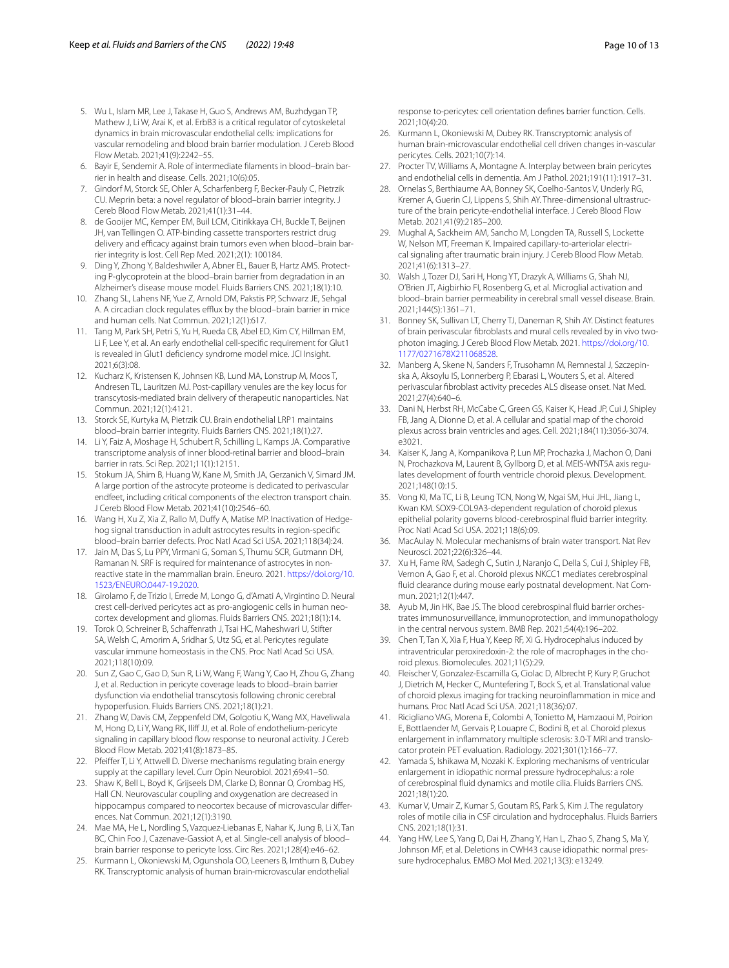- <span id="page-9-0"></span>5. Wu L, Islam MR, Lee J, Takase H, Guo S, Andrews AM, Buzhdygan TP, Mathew J, Li W, Arai K, et al. ErbB3 is a critical regulator of cytoskeletal dynamics in brain microvascular endothelial cells: implications for vascular remodeling and blood brain barrier modulation. J Cereb Blood Flow Metab. 2021;41(9):2242–55.
- <span id="page-9-1"></span>6. Bayir E, Sendemir A. Role of intermediate flaments in blood–brain bar‑ rier in health and disease. Cells. 2021;10(6):05.
- <span id="page-9-2"></span>7. Gindorf M, Storck SE, Ohler A, Scharfenberg F, Becker-Pauly C, Pietrzik CU. Meprin beta: a novel regulator of blood–brain barrier integrity. J Cereb Blood Flow Metab. 2021;41(1):31–44.
- <span id="page-9-3"></span>8. de Gooijer MC, Kemper EM, Buil LCM, Citirikkaya CH, Buckle T, Beijnen JH, van Tellingen O. ATP-binding cassette transporters restrict drug delivery and efficacy against brain tumors even when blood-brain barrier integrity is lost. Cell Rep Med. 2021;2(1): 100184.
- <span id="page-9-4"></span>9. Ding Y, Zhong Y, Baldeshwiler A, Abner EL, Bauer B, Hartz AMS. Protecting P-glycoprotein at the blood–brain barrier from degradation in an Alzheimer's disease mouse model. Fluids Barriers CNS. 2021;18(1):10.
- <span id="page-9-5"></span>10. Zhang SL, Lahens NF, Yue Z, Arnold DM, Pakstis PP, Schwarz JE, Sehgal A. A circadian clock regulates efflux by the blood–brain barrier in mice and human cells. Nat Commun. 2021;12(1):617.
- <span id="page-9-6"></span>11. Tang M, Park SH, Petri S, Yu H, Rueda CB, Abel ED, Kim CY, Hillman EM, Li F, Lee Y, et al. An early endothelial cell-specifc requirement for Glut1 is revealed in Glut1 defciency syndrome model mice. JCI Insight. 2021;6(3):08.
- <span id="page-9-7"></span>12. Kucharz K, Kristensen K, Johnsen KB, Lund MA, Lonstrup M, Moos T, Andresen TL, Lauritzen MJ. Post-capillary venules are the key locus for transcytosis-mediated brain delivery of therapeutic nanoparticles. Nat Commun. 2021;12(1):4121.
- <span id="page-9-8"></span>13. Storck SE, Kurtyka M, Pietrzik CU. Brain endothelial LRP1 maintains blood–brain barrier integrity. Fluids Barriers CNS. 2021;18(1):27.
- <span id="page-9-9"></span>14. Li Y, Faiz A, Moshage H, Schubert R, Schilling L, Kamps JA. Comparative transcriptome analysis of inner blood-retinal barrier and blood–brain barrier in rats. Sci Rep. 2021;11(1):12151.
- <span id="page-9-10"></span>15. Stokum JA, Shim B, Huang W, Kane M, Smith JA, Gerzanich V, Simard JM. A large portion of the astrocyte proteome is dedicated to perivascular endfeet, including critical components of the electron transport chain. J Cereb Blood Flow Metab. 2021;41(10):2546–60.
- <span id="page-9-11"></span>16. Wang H, Xu Z, Xia Z, Rallo M, Duffy A, Matise MP. Inactivation of Hedgehog signal transduction in adult astrocytes results in region-specifc blood–brain barrier defects. Proc Natl Acad Sci USA. 2021;118(34):24.
- <span id="page-9-12"></span>17. Jain M, Das S, Lu PPY, Virmani G, Soman S, Thumu SCR, Gutmann DH, Ramanan N. SRF is required for maintenance of astrocytes in nonreactive state in the mammalian brain. Eneuro. 2021. [https://doi.org/10.](https://doi.org/10.1523/ENEURO.0447-19.2020) [1523/ENEURO.0447-19.2020](https://doi.org/10.1523/ENEURO.0447-19.2020).
- <span id="page-9-13"></span>18. Girolamo F, de Trizio I, Errede M, Longo G, d'Amati A, Virgintino D. Neural crest cell-derived pericytes act as pro-angiogenic cells in human neocortex development and gliomas. Fluids Barriers CNS. 2021;18(1):14.
- <span id="page-9-14"></span>19. Torok O, Schreiner B, Schafenrath J, Tsai HC, Maheshwari U, Stifter SA, Welsh C, Amorim A, Sridhar S, Utz SG, et al. Pericytes regulate vascular immune homeostasis in the CNS. Proc Natl Acad Sci USA. 2021;118(10):09.
- <span id="page-9-15"></span>20. Sun Z, Gao C, Gao D, Sun R, Li W, Wang F, Wang Y, Cao H, Zhou G, Zhang J, et al. Reduction in pericyte coverage leads to blood–brain barrier dysfunction via endothelial transcytosis following chronic cerebral hypoperfusion. Fluids Barriers CNS. 2021;18(1):21.
- <span id="page-9-16"></span>21. Zhang W, Davis CM, Zeppenfeld DM, Golgotiu K, Wang MX, Haveliwala M, Hong D, Li Y, Wang RK, Ilif JJ, et al. Role of endothelium-pericyte signaling in capillary blood flow response to neuronal activity. J Cereb Blood Flow Metab. 2021;41(8):1873–85.
- <span id="page-9-17"></span>22. Pfeifer T, Li Y, Attwell D. Diverse mechanisms regulating brain energy supply at the capillary level. Curr Opin Neurobiol. 2021;69:41–50.
- <span id="page-9-18"></span>23. Shaw K, Bell L, Boyd K, Grijseels DM, Clarke D, Bonnar O, Crombag HS, Hall CN. Neurovascular coupling and oxygenation are decreased in hippocampus compared to neocortex because of microvascular differences. Nat Commun. 2021;12(1):3190.
- <span id="page-9-19"></span>24. Mae MA, He L, Nordling S, Vazquez-Liebanas E, Nahar K, Jung B, Li X, Tan BC, Chin Foo J, Cazenave-Gassiot A, et al. Single-cell analysis of blood– brain barrier response to pericyte loss. Circ Res. 2021;128(4):e46–62.
- <span id="page-9-20"></span>25. Kurmann L, Okoniewski M, Ogunshola OO, Leeners B, Imthurn B, Dubey RK. Transcryptomic analysis of human brain-microvascular endothelial

response to-pericytes: cell orientation defnes barrier function. Cells. 2021;10(4):20.

- <span id="page-9-21"></span>26. Kurmann L, Okoniewski M, Dubey RK. Transcryptomic analysis of human brain-microvascular endothelial cell driven changes in-vascular pericytes. Cells. 2021;10(7):14.
- <span id="page-9-22"></span>27. Procter TV, Williams A, Montagne A. Interplay between brain pericytes and endothelial cells in dementia. Am J Pathol. 2021;191(11):1917–31.
- <span id="page-9-23"></span>28. Ornelas S, Berthiaume AA, Bonney SK, Coelho-Santos V, Underly RG, Kremer A, Guerin CJ, Lippens S, Shih AY. Three-dimensional ultrastruc‑ ture of the brain pericyte-endothelial interface. J Cereb Blood Flow Metab. 2021;41(9):2185–200.
- <span id="page-9-24"></span>29. Mughal A, Sackheim AM, Sancho M, Longden TA, Russell S, Lockette W, Nelson MT, Freeman K. Impaired capillary-to-arteriolar electrical signaling after traumatic brain injury. J Cereb Blood Flow Metab. 2021;41(6):1313–27.
- <span id="page-9-25"></span>30. Walsh J, Tozer DJ, Sari H, Hong YT, Drazyk A, Williams G, Shah NJ, O'Brien JT, Aigbirhio FI, Rosenberg G, et al. Microglial activation and blood–brain barrier permeability in cerebral small vessel disease. Brain. 2021;144(5):1361–71.
- <span id="page-9-26"></span>31. Bonney SK, Sullivan LT, Cherry TJ, Daneman R, Shih AY. Distinct features of brain perivascular fbroblasts and mural cells revealed by in vivo twophoton imaging. J Cereb Blood Flow Metab. 2021. [https://doi.org/10.](https://doi.org/10.1177/0271678X211068528) [1177/0271678X211068528](https://doi.org/10.1177/0271678X211068528).
- <span id="page-9-27"></span>32. Manberg A, Skene N, Sanders F, Trusohamn M, Remnestal J, Szczepinska A, Aksoylu IS, Lonnerberg P, Ebarasi L, Wouters S, et al. Altered perivascular fbroblast activity precedes ALS disease onset. Nat Med. 2021;27(4):640–6.
- <span id="page-9-28"></span>33. Dani N, Herbst RH, McCabe C, Green GS, Kaiser K, Head JP, Cui J, Shipley FB, Jang A, Dionne D, et al. A cellular and spatial map of the choroid plexus across brain ventricles and ages. Cell. 2021;184(11):3056-3074. e3021.
- <span id="page-9-29"></span>34. Kaiser K, Jang A, Kompanikova P, Lun MP, Prochazka J, Machon O, Dani N, Prochazkova M, Laurent B, Gyllborg D, et al. MEIS-WNT5A axis regulates development of fourth ventricle choroid plexus. Development. 2021;148(10):15.
- <span id="page-9-30"></span>35. Vong KI, Ma TC, Li B, Leung TCN, Nong W, Ngai SM, Hui JHL, Jiang L, Kwan KM. SOX9-COL9A3-dependent regulation of choroid plexus epithelial polarity governs blood-cerebrospinal fuid barrier integrity. Proc Natl Acad Sci USA. 2021;118(6):09.
- <span id="page-9-31"></span>36. MacAulay N. Molecular mechanisms of brain water transport. Nat Rev Neurosci. 2021;22(6):326–44.
- <span id="page-9-32"></span>37. Xu H, Fame RM, Sadegh C, Sutin J, Naranjo C, Della S, Cui J, Shipley FB, Vernon A, Gao F, et al. Choroid plexus NKCC1 mediates cerebrospinal fluid clearance during mouse early postnatal development. Nat Commun. 2021;12(1):447.
- <span id="page-9-33"></span>38. Ayub M, Jin HK, Bae JS. The blood cerebrospinal fluid barrier orchestrates immunosurveillance, immunoprotection, and immunopathology in the central nervous system. BMB Rep. 2021;54(4):196–202.
- <span id="page-9-34"></span>39. Chen T, Tan X, Xia F, Hua Y, Keep RF, Xi G. Hydrocephalus induced by intraventricular peroxiredoxin-2: the role of macrophages in the choroid plexus. Biomolecules. 2021;11(5):29.
- <span id="page-9-35"></span>40. Fleischer V, Gonzalez-Escamilla G, Ciolac D, Albrecht P, Kury P, Gruchot J, Dietrich M, Hecker C, Muntefering T, Bock S, et al. Translational value of choroid plexus imaging for tracking neuroinfammation in mice and humans. Proc Natl Acad Sci USA. 2021;118(36):07.
- <span id="page-9-36"></span>41. Ricigliano VAG, Morena E, Colombi A, Tonietto M, Hamzaoui M, Poirion E, Bottlaender M, Gervais P, Louapre C, Bodini B, et al. Choroid plexus enlargement in inflammatory multiple sclerosis: 3.0-T MRI and translocator protein PET evaluation. Radiology. 2021;301(1):166–77.
- <span id="page-9-37"></span>Yamada S, Ishikawa M, Nozaki K. Exploring mechanisms of ventricular enlargement in idiopathic normal pressure hydrocephalus: a role of cerebrospinal fuid dynamics and motile cilia. Fluids Barriers CNS. 2021;18(1):20.
- <span id="page-9-38"></span>43. Kumar V, Umair Z, Kumar S, Goutam RS, Park S, Kim J. The regulatory roles of motile cilia in CSF circulation and hydrocephalus. Fluids Barriers CNS. 2021;18(1):31.
- <span id="page-9-39"></span>Yang HW, Lee S, Yang D, Dai H, Zhang Y, Han L, Zhao S, Zhang S, Ma Y, Johnson ME, et al. Deletions in CWH43 cause idiopathic normal pressure hydrocephalus. EMBO Mol Med. 2021;13(3): e13249.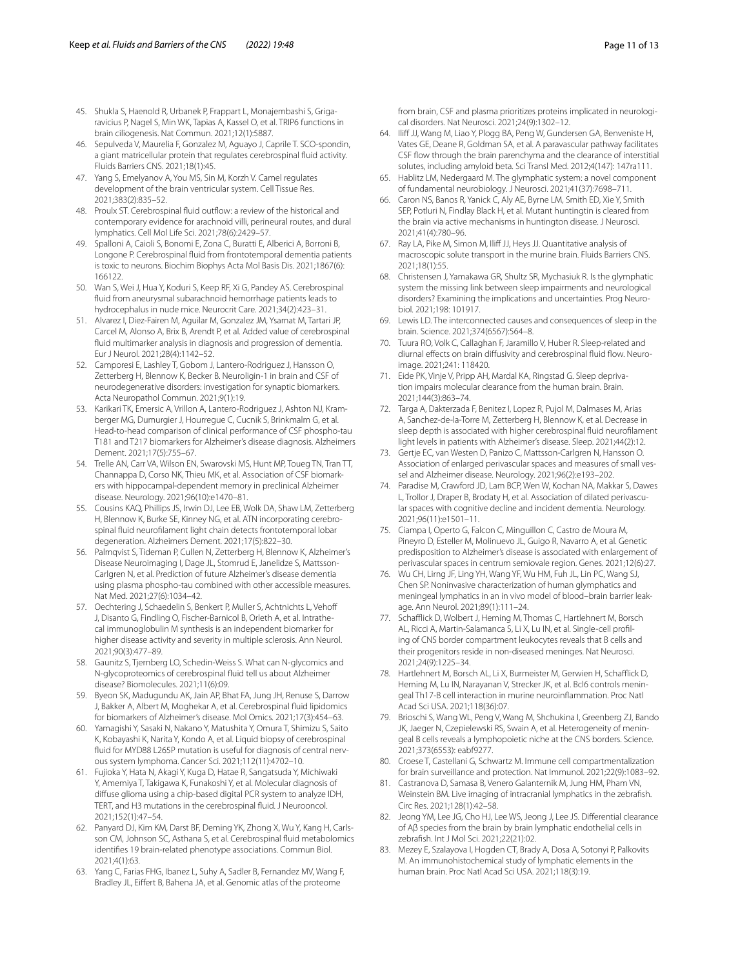- <span id="page-10-0"></span>45. Shukla S, Haenold R, Urbanek P, Frappart L, Monajembashi S, Grigaravicius P, Nagel S, Min WK, Tapias A, Kassel O, et al. TRIP6 functions in brain ciliogenesis. Nat Commun. 2021;12(1):5887.
- <span id="page-10-1"></span>46. Sepulveda V, Maurelia F, Gonzalez M, Aguayo J, Caprile T. SCO-spondin, a giant matricellular protein that regulates cerebrospinal fuid activity. Fluids Barriers CNS. 2021;18(1):45.
- <span id="page-10-2"></span>47. Yang S, Emelyanov A, You MS, Sin M, Korzh V. Camel regulates development of the brain ventricular system. Cell Tissue Res. 2021;383(2):835–52.
- <span id="page-10-3"></span>48. Proulx ST. Cerebrospinal fluid outflow: a review of the historical and contemporary evidence for arachnoid villi, perineural routes, and dural lymphatics. Cell Mol Life Sci. 2021;78(6):2429–57.
- <span id="page-10-4"></span>49. Spalloni A, Caioli S, Bonomi E, Zona C, Buratti E, Alberici A, Borroni B, Longone P. Cerebrospinal fuid from frontotemporal dementia patients is toxic to neurons. Biochim Biophys Acta Mol Basis Dis. 2021;1867(6): 166122.
- <span id="page-10-5"></span>50. Wan S, Wei J, Hua Y, Koduri S, Keep RF, Xi G, Pandey AS. Cerebrospinal fuid from aneurysmal subarachnoid hemorrhage patients leads to hydrocephalus in nude mice. Neurocrit Care. 2021;34(2):423–31.
- <span id="page-10-6"></span>51. Alvarez I, Diez-Fairen M, Aguilar M, Gonzalez JM, Ysamat M, Tartari JP, Carcel M, Alonso A, Brix B, Arendt P, et al. Added value of cerebrospinal fuid multimarker analysis in diagnosis and progression of dementia. Eur J Neurol. 2021;28(4):1142–52.
- 52. Camporesi E, Lashley T, Gobom J, Lantero-Rodriguez J, Hansson O, Zetterberg H, Blennow K, Becker B. Neuroligin-1 in brain and CSF of neurodegenerative disorders: investigation for synaptic biomarkers. Acta Neuropathol Commun. 2021;9(1):19.
- 53. Karikari TK, Emersic A, Vrillon A, Lantero-Rodriguez J, Ashton NJ, Kramberger MG, Dumurgier J, Hourregue C, Cucnik S, Brinkmalm G, et al. Head-to-head comparison of clinical performance of CSF phospho-tau T181 and T217 biomarkers for Alzheimer's disease diagnosis. Alzheimers Dement. 2021;17(5):755–67.
- <span id="page-10-7"></span>54. Trelle AN, Carr VA, Wilson EN, Swarovski MS, Hunt MP, Toueg TN, Tran TT, Channappa D, Corso NK, Thieu MK, et al. Association of CSF biomark‑ ers with hippocampal-dependent memory in preclinical Alzheimer disease. Neurology. 2021;96(10):e1470–81.
- <span id="page-10-8"></span>55. Cousins KAQ, Phillips JS, Irwin DJ, Lee EB, Wolk DA, Shaw LM, Zetterberg H, Blennow K, Burke SE, Kinney NG, et al. ATN incorporating cerebrospinal fuid neuroflament light chain detects frontotemporal lobar degeneration. Alzheimers Dement. 2021;17(5):822–30.
- <span id="page-10-9"></span>56. Palmqvist S, Tideman P, Cullen N, Zetterberg H, Blennow K, Alzheimer's Disease Neuroimaging I, Dage JL, Stomrud E, Janelidze S, Mattsson-Carlgren N, et al. Prediction of future Alzheimer's disease dementia using plasma phospho-tau combined with other accessible measures. Nat Med. 2021;27(6):1034–42.
- <span id="page-10-10"></span>57. Oechtering J, Schaedelin S, Benkert P, Muller S, Achtnichts L, Vehof J, Disanto G, Findling O, Fischer-Barnicol B, Orleth A, et al. Intrathecal immunoglobulin M synthesis is an independent biomarker for higher disease activity and severity in multiple sclerosis. Ann Neurol. 2021;90(3):477–89.
- <span id="page-10-11"></span>58. Gaunitz S, Tjernberg LO, Schedin-Weiss S. What can N-glycomics and N-glycoproteomics of cerebrospinal fuid tell us about Alzheimer disease? Biomolecules. 2021;11(6):09.
- <span id="page-10-12"></span>59. Byeon SK, Madugundu AK, Jain AP, Bhat FA, Jung JH, Renuse S, Darrow J, Bakker A, Albert M, Moghekar A, et al. Cerebrospinal fuid lipidomics for biomarkers of Alzheimer's disease. Mol Omics. 2021;17(3):454–63.
- <span id="page-10-13"></span>60. Yamagishi Y, Sasaki N, Nakano Y, Matushita Y, Omura T, Shimizu S, Saito K, Kobayashi K, Narita Y, Kondo A, et al. Liquid biopsy of cerebrospinal fluid for MYD88 L265P mutation is useful for diagnosis of central nervous system lymphoma. Cancer Sci. 2021;112(11):4702–10.
- <span id="page-10-14"></span>61. Fujioka Y, Hata N, Akagi Y, Kuga D, Hatae R, Sangatsuda Y, Michiwaki Y, Amemiya T, Takigawa K, Funakoshi Y, et al. Molecular diagnosis of difuse glioma using a chip-based digital PCR system to analyze IDH, TERT, and H3 mutations in the cerebrospinal fuid. J Neurooncol. 2021;152(1):47–54.
- <span id="page-10-15"></span>62. Panyard DJ, Kim KM, Darst BF, Deming YK, Zhong X, Wu Y, Kang H, Carlsson CM, Johnson SC, Asthana S, et al. Cerebrospinal fuid metabolomics identifes 19 brain-related phenotype associations. Commun Biol. 2021;4(1):63.
- <span id="page-10-16"></span>Yang C, Farias FHG, Ibanez L, Suhy A, Sadler B, Fernandez MV, Wang F, Bradley JL, Eifert B, Bahena JA, et al. Genomic atlas of the proteome

from brain, CSF and plasma prioritizes proteins implicated in neurological disorders. Nat Neurosci. 2021;24(9):1302–12.

- <span id="page-10-17"></span>64. Iliff JJ, Wang M, Liao Y, Plogg BA, Peng W, Gundersen GA, Benveniste H, Vates GE, Deane R, Goldman SA, et al. A paravascular pathway facilitates CSF fow through the brain parenchyma and the clearance of interstitial solutes, including amyloid beta. Sci Transl Med. 2012;4(147): 147ra111.
- <span id="page-10-18"></span>65. Hablitz LM, Nedergaard M. The glymphatic system: a novel component of fundamental neurobiology. J Neurosci. 2021;41(37):7698–711.
- <span id="page-10-19"></span>66. Caron NS, Banos R, Yanick C, Aly AE, Byrne LM, Smith ED, Xie Y, Smith SEP, Potluri N, Findlay Black H, et al. Mutant huntingtin is cleared from the brain via active mechanisms in huntington disease. J Neurosci. 2021;41(4):780–96.
- <span id="page-10-20"></span>67. Ray LA, Pike M, Simon M, Iliff JJ, Heys JJ. Quantitative analysis of macroscopic solute transport in the murine brain. Fluids Barriers CNS. 2021;18(1):55.
- <span id="page-10-21"></span>68. Christensen J, Yamakawa GR, Shultz SR, Mychasiuk R. Is the glymphatic system the missing link between sleep impairments and neurological disorders? Examining the implications and uncertainties. Prog Neurobiol. 2021;198: 101917.
- <span id="page-10-22"></span>69. Lewis LD. The interconnected causes and consequences of sleep in the brain. Science. 2021;374(6567):564–8.
- <span id="page-10-23"></span>70. Tuura RO, Volk C, Callaghan F, Jaramillo V, Huber R. Sleep-related and diurnal effects on brain diffusivity and cerebrospinal fluid flow. Neuroimage. 2021;241: 118420.
- <span id="page-10-24"></span>71. Eide PK, Vinje V, Pripp AH, Mardal KA, Ringstad G. Sleep deprivation impairs molecular clearance from the human brain. Brain. 2021;144(3):863–74.
- <span id="page-10-25"></span>72. Targa A, Dakterzada F, Benitez I, Lopez R, Pujol M, Dalmases M, Arias A, Sanchez-de-la-Torre M, Zetterberg H, Blennow K, et al. Decrease in sleep depth is associated with higher cerebrospinal fuid neuroflament light levels in patients with Alzheimer's disease. Sleep. 2021;44(2):12.
- <span id="page-10-26"></span>73. Gertje EC, van Westen D, Panizo C, Mattsson-Carlgren N, Hansson O. Association of enlarged perivascular spaces and measures of small vessel and Alzheimer disease. Neurology. 2021;96(2):e193–202.
- <span id="page-10-27"></span>74. Paradise M, Crawford JD, Lam BCP, Wen W, Kochan NA, Makkar S, Dawes L, Trollor J, Draper B, Brodaty H, et al. Association of dilated perivascular spaces with cognitive decline and incident dementia. Neurology. 2021;96(11):e1501–11.
- <span id="page-10-28"></span>75. Ciampa I, Operto G, Falcon C, Minguillon C, Castro de Moura M, Pineyro D, Esteller M, Molinuevo JL, Guigo R, Navarro A, et al. Genetic predisposition to Alzheimer's disease is associated with enlargement of perivascular spaces in centrum semiovale region. Genes. 2021;12(6):27.
- <span id="page-10-29"></span>76. Wu CH, Lirng JF, Ling YH, Wang YF, Wu HM, Fuh JL, Lin PC, Wang SJ, Chen SP. Noninvasive characterization of human glymphatics and meningeal lymphatics in an in vivo model of blood–brain barrier leak‑ age. Ann Neurol. 2021;89(1):111–24.
- <span id="page-10-30"></span>77. Schafflick D, Wolbert J, Heming M, Thomas C, Hartlehnert M, Borsch AL, Ricci A, Martin-Salamanca S, Li X, Lu IN, et al. Single-cell profiling of CNS border compartment leukocytes reveals that B cells and their progenitors reside in non-diseased meninges. Nat Neurosci. 2021;24(9):1225–34.
- <span id="page-10-31"></span>78. Hartlehnert M, Borsch AL, Li X, Burmeister M, Gerwien H, Schafflick D, Heming M, Lu IN, Narayanan V, Strecker JK, et al. Bcl6 controls meningeal Th17-B cell interaction in murine neuroinfammation. Proc Natl Acad Sci USA. 2021;118(36):07.
- <span id="page-10-32"></span>79. Brioschi S, Wang WL, Peng V, Wang M, Shchukina I, Greenberg ZJ, Bando JK, Jaeger N, Czepielewski RS, Swain A, et al. Heterogeneity of meningeal B cells reveals a lymphopoietic niche at the CNS borders. Science. 2021;373(6553): eabf9277.
- <span id="page-10-33"></span>80. Croese T, Castellani G, Schwartz M. Immune cell compartmentalization for brain surveillance and protection. Nat Immunol. 2021;22(9):1083–92.
- <span id="page-10-34"></span>81. Castranova D, Samasa B, Venero Galanternik M, Jung HM, Pham VN, Weinstein BM. Live imaging of intracranial lymphatics in the zebrafsh. Circ Res. 2021;128(1):42–58.
- <span id="page-10-35"></span>82. Jeong YM, Lee JG, Cho HJ, Lee WS, Jeong J, Lee JS. Diferential clearance of Aβ species from the brain by brain lymphatic endothelial cells in zebrafsh. Int J Mol Sci. 2021;22(21):02.
- <span id="page-10-36"></span>83. Mezey E, Szalayova I, Hogden CT, Brady A, Dosa A, Sotonyi P, Palkovits M. An immunohistochemical study of lymphatic elements in the human brain. Proc Natl Acad Sci USA. 2021;118(3):19.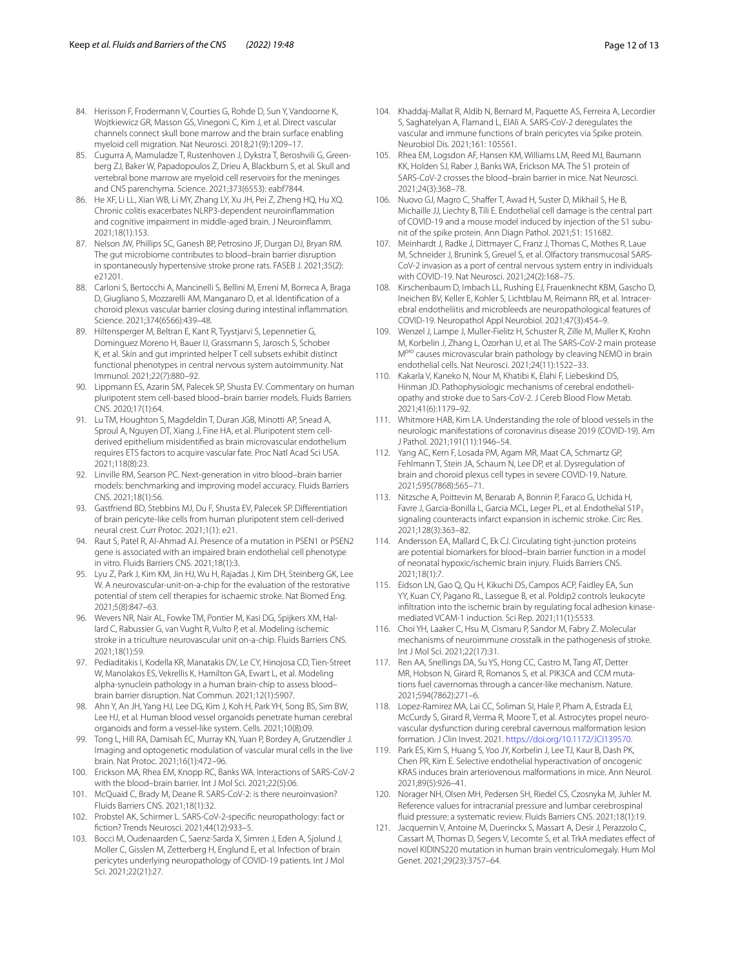- <span id="page-11-0"></span>84. Herisson F, Frodermann V, Courties G, Rohde D, Sun Y, Vandoorne K, Wojtkiewicz GR, Masson GS, Vinegoni C, Kim J, et al. Direct vascular channels connect skull bone marrow and the brain surface enabling myeloid cell migration. Nat Neurosci. 2018;21(9):1209–17.
- <span id="page-11-1"></span>85. Cugurra A, Mamuladze T, Rustenhoven J, Dykstra T, Beroshvili G, Greenberg ZJ, Baker W, Papadopoulos Z, Drieu A, Blackburn S, et al. Skull and vertebral bone marrow are myeloid cell reservoirs for the meninges and CNS parenchyma. Science. 2021;373(6553): eabf7844.
- <span id="page-11-2"></span>86. He XF, Li LL, Xian WB, Li MY, Zhang LY, Xu JH, Pei Z, Zheng HQ, Hu XQ. Chronic colitis exacerbates NLRP3-dependent neuroinfammation and cognitive impairment in middle-aged brain. J Neuroinfamm. 2021;18(1):153.
- <span id="page-11-3"></span>87. Nelson JW, Phillips SC, Ganesh BP, Petrosino JF, Durgan DJ, Bryan RM. The gut microbiome contributes to blood–brain barrier disruption in spontaneously hypertensive stroke prone rats. FASEB J. 2021;35(2): e21201.
- <span id="page-11-4"></span>88. Carloni S, Bertocchi A, Mancinelli S, Bellini M, Erreni M, Borreca A, Braga D, Giugliano S, Mozzarelli AM, Manganaro D, et al. Identifcation of a choroid plexus vascular barrier closing during intestinal infammation. Science. 2021;374(6566):439–48.
- <span id="page-11-5"></span>89. Hiltensperger M, Beltran E, Kant R, Tyystjarvi S, Lepennetier G, Dominguez Moreno H, Bauer IJ, Grassmann S, Jarosch S, Schober K, et al. Skin and gut imprinted helper T cell subsets exhibit distinct functional phenotypes in central nervous system autoimmunity. Nat Immunol. 2021;22(7):880–92.
- <span id="page-11-6"></span>Lippmann ES, Azarin SM, Palecek SP, Shusta EV. Commentary on human pluripotent stem cell-based blood–brain barrier models. Fluids Barriers CNS. 2020;17(1):64.
- <span id="page-11-7"></span>91. Lu TM, Houghton S, Magdeldin T, Duran JGB, Minotti AP, Snead A, Sproul A, Nguyen DT, Xiang J, Fine HA, et al. Pluripotent stem cellderived epithelium misidentifed as brain microvascular endothelium requires ETS factors to acquire vascular fate. Proc Natl Acad Sci USA. 2021;118(8):23.
- <span id="page-11-8"></span>92. Linville RM, Searson PC. Next-generation in vitro blood–brain barrier models: benchmarking and improving model accuracy. Fluids Barriers CNS. 2021;18(1):56.
- <span id="page-11-9"></span>93. Gastfriend BD, Stebbins MJ, Du F, Shusta EV, Palecek SP. Differentiation of brain pericyte-like cells from human pluripotent stem cell-derived neural crest. Curr Protoc. 2021;1(1): e21.
- <span id="page-11-10"></span>94. Raut S, Patel R, Al-Ahmad AJ. Presence of a mutation in PSEN1 or PSEN2 gene is associated with an impaired brain endothelial cell phenotype in vitro. Fluids Barriers CNS. 2021;18(1):3.
- <span id="page-11-11"></span>95. Lyu Z, Park J, Kim KM, Jin HJ, Wu H, Rajadas J, Kim DH, Steinberg GK, Lee W. A neurovascular-unit-on-a-chip for the evaluation of the restorative potential of stem cell therapies for ischaemic stroke. Nat Biomed Eng. 2021;5(8):847–63.
- <span id="page-11-12"></span>96. Wevers NR, Nair AL, Fowke TM, Pontier M, Kasi DG, Spijkers XM, Hallard C, Rabussier G, van Vught R, Vulto P, et al. Modeling ischemic stroke in a triculture neurovascular unit on-a-chip. Fluids Barriers CNS. 2021;18(1):59.
- <span id="page-11-13"></span>97. Pediaditakis I, Kodella KR, Manatakis DV, Le CY, Hinojosa CD, Tien-Street W, Manolakos ES, Vekrellis K, Hamilton GA, Ewart L, et al. Modeling alpha-synuclein pathology in a human brain-chip to assess blood– brain barrier disruption. Nat Commun. 2021;12(1):5907.
- <span id="page-11-14"></span>98. Ahn Y, An JH, Yang HJ, Lee DG, Kim J, Koh H, Park YH, Song BS, Sim BW, Lee HJ, et al. Human blood vessel organoids penetrate human cerebral organoids and form a vessel-like system. Cells. 2021;10(8):09.
- <span id="page-11-15"></span>99. Tong L, Hill RA, Damisah EC, Murray KN, Yuan P, Bordey A, Grutzendler J. Imaging and optogenetic modulation of vascular mural cells in the live brain. Nat Protoc. 2021;16(1):472–96.
- <span id="page-11-16"></span>100. Erickson MA, Rhea EM, Knopp RC, Banks WA. Interactions of SARS-CoV-2 with the blood–brain barrier. Int J Mol Sci. 2021;22(5):06.
- 101. McQuaid C, Brady M, Deane R. SARS-CoV-2: is there neuroinvasion? Fluids Barriers CNS. 2021;18(1):32.
- <span id="page-11-17"></span>102. Probstel AK, Schirmer L. SARS-CoV-2-specifc neuropathology: fact or fction? Trends Neurosci. 2021;44(12):933–5.
- <span id="page-11-18"></span>103. Bocci M, Oudenaarden C, Saenz-Sarda X, Simren J, Eden A, Sjolund J, Moller C, Gisslen M, Zetterberg H, Englund E, et al. Infection of brain pericytes underlying neuropathology of COVID-19 patients. Int J Mol Sci. 2021;22(21):27.
- <span id="page-11-19"></span>104. Khaddaj-Mallat R, Aldib N, Bernard M, Paquette AS, Ferreira A, Lecordier S, Saghatelyan A, Flamand L, ElAli A. SARS-CoV-2 deregulates the vascular and immune functions of brain pericytes via Spike protein. Neurobiol Dis. 2021;161: 105561.
- <span id="page-11-20"></span>105. Rhea EM, Logsdon AF, Hansen KM, Williams LM, Reed MJ, Baumann KK, Holden SJ, Raber J, Banks WA, Erickson MA. The S1 protein of SARS-CoV-2 crosses the blood–brain barrier in mice. Nat Neurosci. 2021;24(3):368–78.
- <span id="page-11-21"></span>106. Nuovo GJ, Magro C, Shaffer T, Awad H, Suster D, Mikhail S, He B, Michaille JJ, Liechty B, Tili E. Endothelial cell damage is the central part of COVID-19 and a mouse model induced by injection of the S1 subunit of the spike protein. Ann Diagn Pathol. 2021;51: 151682.
- <span id="page-11-22"></span>107. Meinhardt J, Radke J, Dittmayer C, Franz J, Thomas C, Mothes R, Laue M, Schneider J, Brunink S, Greuel S, et al. Olfactory transmucosal SARS-CoV-2 invasion as a port of central nervous system entry in individuals with COVID-19. Nat Neurosci. 2021;24(2):168–75.
- <span id="page-11-23"></span>108. Kirschenbaum D, Imbach LL, Rushing EJ, Frauenknecht KBM, Gascho D, Ineichen BV, Keller E, Kohler S, Lichtblau M, Reimann RR, et al. Intracerebral endotheliitis and microbleeds are neuropathological features of COVID-19. Neuropathol Appl Neurobiol. 2021;47(3):454–9.
- <span id="page-11-24"></span>109. Wenzel J, Lampe J, Muller-Fielitz H, Schuster R, Zille M, Muller K, Krohn M, Korbelin J, Zhang L, Ozorhan U, et al. The SARS-CoV-2 main protease M<sup>pro</sup> causes microvascular brain pathology by cleaving NEMO in brain endothelial cells. Nat Neurosci. 2021;24(11):1522–33.
- <span id="page-11-25"></span>110. Kakarla V, Kaneko N, Nour M, Khatibi K, Elahi F, Liebeskind DS, Hinman JD. Pathophysiologic mechanisms of cerebral endotheliopathy and stroke due to Sars-CoV-2. J Cereb Blood Flow Metab. 2021;41(6):1179–92.
- <span id="page-11-26"></span>111. Whitmore HAB, Kim LA. Understanding the role of blood vessels in the neurologic manifestations of coronavirus disease 2019 (COVID-19). Am J Pathol. 2021;191(11):1946–54.
- <span id="page-11-27"></span>112. Yang AC, Kern F, Losada PM, Agam MR, Maat CA, Schmartz GP, Fehlmann T, Stein JA, Schaum N, Lee DP, et al. Dysregulation of brain and choroid plexus cell types in severe COVID-19. Nature. 2021;595(7868):565–71.
- <span id="page-11-28"></span>113. Nitzsche A, Poittevin M, Benarab A, Bonnin P, Faraco G, Uchida H, Favre J, Garcia-Bonilla L, Garcia MCL, Leger PL, et al. Endothelial S1P, signaling counteracts infarct expansion in ischemic stroke. Circ Res. 2021;128(3):363–82.
- <span id="page-11-29"></span>114. Andersson EA, Mallard C, Ek CJ. Circulating tight-junction proteins are potential biomarkers for blood–brain barrier function in a model of neonatal hypoxic/ischemic brain injury. Fluids Barriers CNS. 2021;18(1):7.
- <span id="page-11-30"></span>115. Eidson LN, Gao Q, Qu H, Kikuchi DS, Campos ACP, Faidley EA, Sun YY, Kuan CY, Pagano RL, Lassegue B, et al. Poldip2 controls leukocyte infltration into the ischemic brain by regulating focal adhesion kinasemediated VCAM-1 induction. Sci Rep. 2021;11(1):5533.
- <span id="page-11-31"></span>116. Choi YH, Laaker C, Hsu M, Cismaru P, Sandor M, Fabry Z. Molecular mechanisms of neuroimmune crosstalk in the pathogenesis of stroke. Int J Mol Sci. 2021;22(17):31.
- <span id="page-11-32"></span>117. Ren AA, Snellings DA, Su YS, Hong CC, Castro M, Tang AT, Detter MR, Hobson N, Girard R, Romanos S, et al. PIK3CA and CCM mutations fuel cavernomas through a cancer-like mechanism. Nature. 2021;594(7862):271–6.
- <span id="page-11-33"></span>118. Lopez-Ramirez MA, Lai CC, Soliman SI, Hale P, Pham A, Estrada EJ, McCurdy S, Girard R, Verma R, Moore T, et al. Astrocytes propel neurovascular dysfunction during cerebral cavernous malformation lesion formation. J Clin Invest. 2021. [https://doi.org/10.1172/JCI139570.](https://doi.org/10.1172/JCI139570)
- <span id="page-11-34"></span>119. Park ES, Kim S, Huang S, Yoo JY, Korbelin J, Lee TJ, Kaur B, Dash PK, Chen PR, Kim E. Selective endothelial hyperactivation of oncogenic KRAS induces brain arteriovenous malformations in mice. Ann Neurol. 2021;89(5):926–41.
- <span id="page-11-35"></span>120. Norager NH, Olsen MH, Pedersen SH, Riedel CS, Czosnyka M, Juhler M. Reference values for intracranial pressure and lumbar cerebrospinal fuid pressure: a systematic review. Fluids Barriers CNS. 2021;18(1):19.
- <span id="page-11-36"></span>121. Jacquemin V, Antoine M, Duerinckx S, Massart A, Desir J, Perazzolo C, Cassart M, Thomas D, Segers V, Lecomte S, et al. TrkA mediates efect of novel KIDINS220 mutation in human brain ventriculomegaly. Hum Mol Genet. 2021;29(23):3757–64.